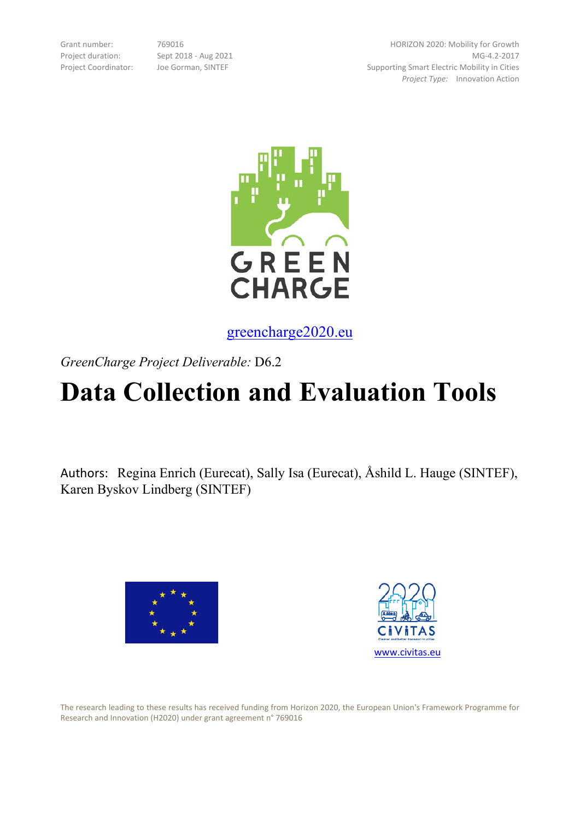Grant number: 769016 Project duration: Sept 2018 - Aug 2021 Project Coordinator: Joe Gorman, SINTEF

HORIZON 2020: Mobility for Growth MG-4.2-2017 Supporting Smart Electric Mobility in Cities *Project Type:* Innovation Action



greencharge2020.eu

*GreenCharge Project Deliverable:* D6.2

# **Data Collection and Evaluation Tools**

Authors: Regina Enrich (Eurecat), Sally Isa (Eurecat), Åshild L. Hauge (SINTEF), Karen Byskov Lindberg (SINTEF)





The research leading to these results has received funding from Horizon 2020, the European Union's Framework Programme for Research and Innovation (H2020) under grant agreement n° 769016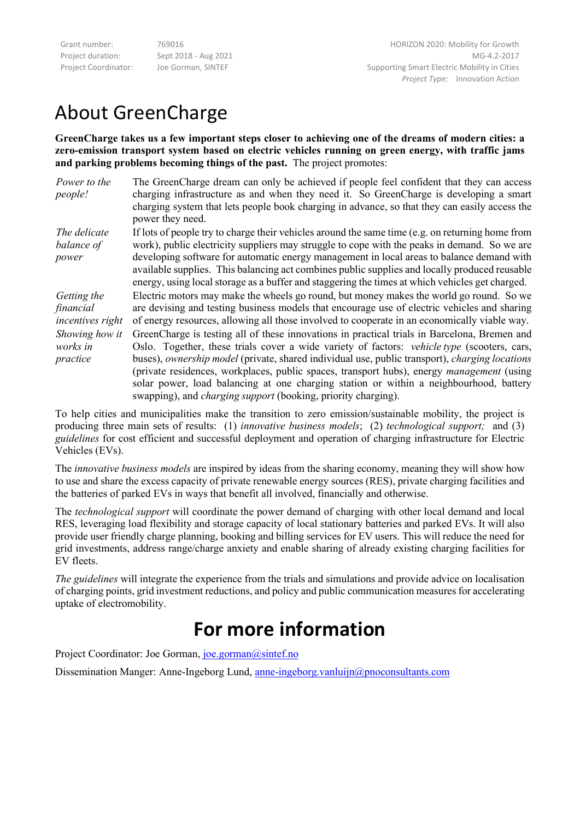Grant number: 769016 Project duration: Sept 2018 - Aug 2021 Project Coordinator: Joe Gorman, SINTEF

HORIZON 2020: Mobility for Growth MG-4.2-2017 Supporting Smart Electric Mobility in Cities *Project Type:* Innovation Action

## About GreenCharge

**GreenCharge takes us a few important steps closer to achieving one of the dreams of modern cities: a zero-emission transport system based on electric vehicles running on green energy, with traffic jams and parking problems becoming things of the past.** The project promotes:

| Power to the   | The GreenCharge dream can only be achieved if people feel confident that they can access         |
|----------------|--------------------------------------------------------------------------------------------------|
| <i>people!</i> | charging infrastructure as and when they need it. So GreenCharge is developing a smart           |
|                | charging system that lets people book charging in advance, so that they can easily access the    |
|                | power they need.                                                                                 |
| The delicate   | If lots of people try to charge their vehicles around the same time (e.g. on returning home from |
| balance of     | work), public electricity suppliers may struggle to cope with the peaks in demand. So we are     |
| power          | developing software for automatic energy management in local areas to balance demand with        |

developing software for automatic energy management in local areas to balance demand with available supplies. This balancing act combines public supplies and locally produced reusable energy, using local storage as a buffer and staggering the times at which vehicles get charged.

*Getting the financial incentives right* Electric motors may make the wheels go round, but money makes the world go round. So we are devising and testing business models that encourage use of electric vehicles and sharing of energy resources, allowing all those involved to cooperate in an economically viable way. *Showing how it works in practice* GreenCharge is testing all of these innovations in practical trials in Barcelona, Bremen and Oslo. Together, these trials cover a wide variety of factors: *vehicle type* (scooters, cars, buses), *ownership model* (private, shared individual use, public transport), *charging locations* (private residences, workplaces, public spaces, transport hubs), energy *management* (using solar power, load balancing at one charging station or within a neighbourhood, battery swapping), and *charging support* (booking, priority charging).

To help cities and municipalities make the transition to zero emission/sustainable mobility, the project is producing three main sets of results: (1) *innovative business models*; (2) *technological support;* and (3) *guidelines* for cost efficient and successful deployment and operation of charging infrastructure for Electric Vehicles (EVs).

The *innovative business models* are inspired by ideas from the sharing economy, meaning they will show how to use and share the excess capacity of private renewable energy sources (RES), private charging facilities and the batteries of parked EVs in ways that benefit all involved, financially and otherwise.

The *technological support* will coordinate the power demand of charging with other local demand and local RES, leveraging load flexibility and storage capacity of local stationary batteries and parked EVs. It will also provide user friendly charge planning, booking and billing services for EV users. This will reduce the need for grid investments, address range/charge anxiety and enable sharing of already existing charging facilities for EV fleets.

*The guidelines* will integrate the experience from the trials and simulations and provide advice on localisation of charging points, grid investment reductions, and policy and public communication measures for accelerating uptake of electromobility.

## **For more information**

Project Coordinator: Joe Gorman, [joe.gorman@sintef.no](mailto:joe.gorman@sintef.no)

Dissemination Manger: Anne-Ingeborg Lund, [anne-ingeborg.vanluijn@pnoconsultants.com](mailto:anne-ingeborg.vanluijn@pnoconsultants.com)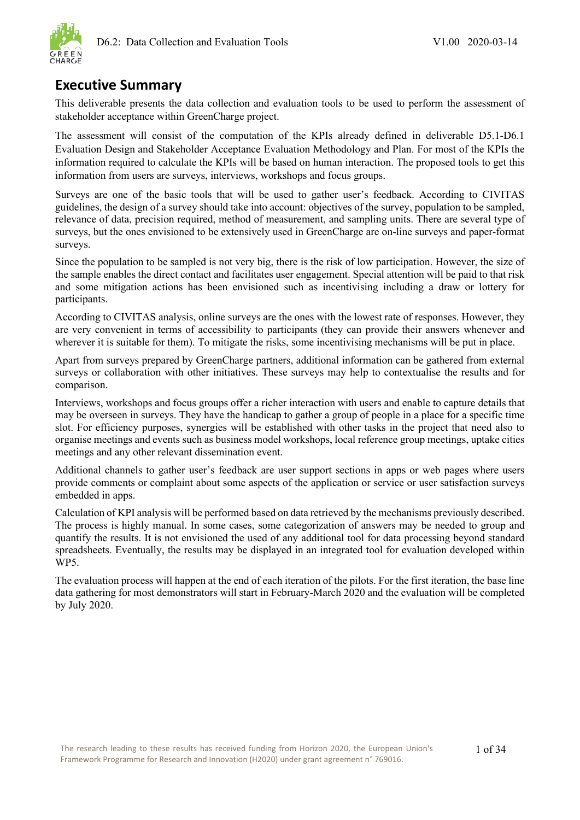

### <span id="page-2-0"></span>**Executive Summary**

This deliverable presents the data collection and evaluation tools to be used to perform the assessment of stakeholder acceptance within GreenCharge project.

The assessment will consist of the computation of the KPIs already defined in deliverable D5.1-D6.1 Evaluation Design and Stakeholder Acceptance Evaluation Methodology and Plan. For most of the KPIs the information required to calculate the KPIs will be based on human interaction. The proposed tools to get this information from users are surveys, interviews, workshops and focus groups.

Surveys are one of the basic tools that will be used to gather user's feedback. According to CIVITAS guidelines, the design of a survey should take into account: objectives of the survey, population to be sampled, relevance of data, precision required, method of measurement, and sampling units. There are several type of surveys, but the ones envisioned to be extensively used in GreenCharge are on-line surveys and paper-format surveys.

Since the population to be sampled is not very big, there is the risk of low participation. However, the size of the sample enables the direct contact and facilitates user engagement. Special attention will be paid to that risk and some mitigation actions has been envisioned such as incentivising including a draw or lottery for participants.

According to CIVITAS analysis, online surveys are the ones with the lowest rate of responses. However, they are very convenient in terms of accessibility to participants (they can provide their answers whenever and wherever it is suitable for them). To mitigate the risks, some incentivising mechanisms will be put in place.

Apart from surveys prepared by GreenCharge partners, additional information can be gathered from external surveys or collaboration with other initiatives. These surveys may help to contextualise the results and for comparison.

Interviews, workshops and focus groups offer a richer interaction with users and enable to capture details that may be overseen in surveys. They have the handicap to gather a group of people in a place for a specific time slot. For efficiency purposes, synergies will be established with other tasks in the project that need also to organise meetings and events such as business model workshops, local reference group meetings, uptake cities meetings and any other relevant dissemination event.

Additional channels to gather user's feedback are user support sections in apps or web pages where users provide comments or complaint about some aspects of the application or service or user satisfaction surveys embedded in apps.

Calculation of KPI analysis will be performed based on data retrieved by the mechanisms previously described. The process is highly manual. In some cases, some categorization of answers may be needed to group and quantify the results. It is not envisioned the used of any additional tool for data processing beyond standard spreadsheets. Eventually, the results may be displayed in an integrated tool for evaluation developed within WP5.

The evaluation process will happen at the end of each iteration of the pilots. For the first iteration, the base line data gathering for most demonstrators will start in February-March 2020 and the evaluation will be completed by July 2020.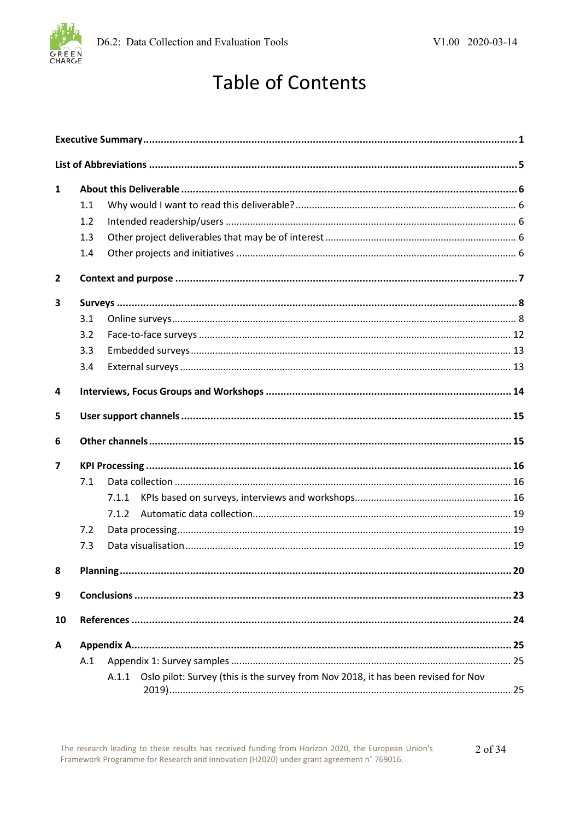

## **Table of Contents**

| $\mathbf{1}$   |          |       |                                                                                         |     |
|----------------|----------|-------|-----------------------------------------------------------------------------------------|-----|
|                | 1.1      |       |                                                                                         |     |
|                | 1.2      |       |                                                                                         |     |
|                | 1.3      |       |                                                                                         |     |
|                | 1.4      |       |                                                                                         |     |
| $\mathbf{2}$   |          |       |                                                                                         |     |
| 3              |          |       |                                                                                         |     |
|                | 3.1      |       |                                                                                         |     |
|                | 3.2      |       |                                                                                         |     |
|                | 3.3      |       |                                                                                         |     |
|                | 3.4      |       |                                                                                         |     |
| 4              |          |       |                                                                                         |     |
| 5              |          |       |                                                                                         |     |
| 6              |          |       |                                                                                         |     |
| $\overline{ }$ |          |       |                                                                                         |     |
|                | 7.1      |       |                                                                                         |     |
|                |          | 7.1.1 |                                                                                         |     |
|                |          | 7.1.2 |                                                                                         |     |
|                | 7.2      |       |                                                                                         |     |
|                | 7.3      |       |                                                                                         |     |
| 8 <sub>1</sub> | Planning |       |                                                                                         | .20 |
| 9              |          |       |                                                                                         |     |
| 10             |          |       |                                                                                         |     |
| A              |          |       |                                                                                         |     |
|                | A.1      |       |                                                                                         |     |
|                |          |       | A.1.1 Oslo pilot: Survey (this is the survey from Nov 2018, it has been revised for Nov |     |
|                |          |       |                                                                                         |     |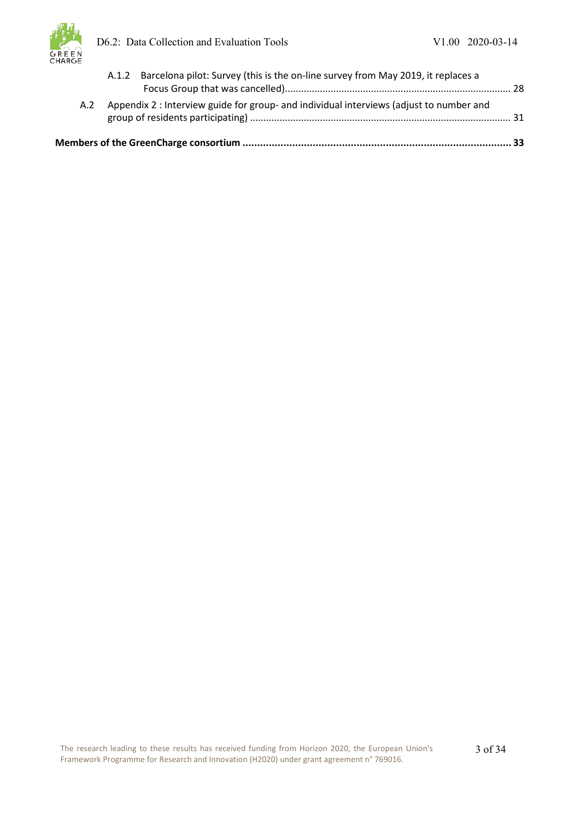

| A.2 | Appendix 2 : Interview guide for group- and individual interviews (adjust to number and |  |
|-----|-----------------------------------------------------------------------------------------|--|
|     | A.1.2 Barcelona pilot: Survey (this is the on-line survey from May 2019, it replaces a  |  |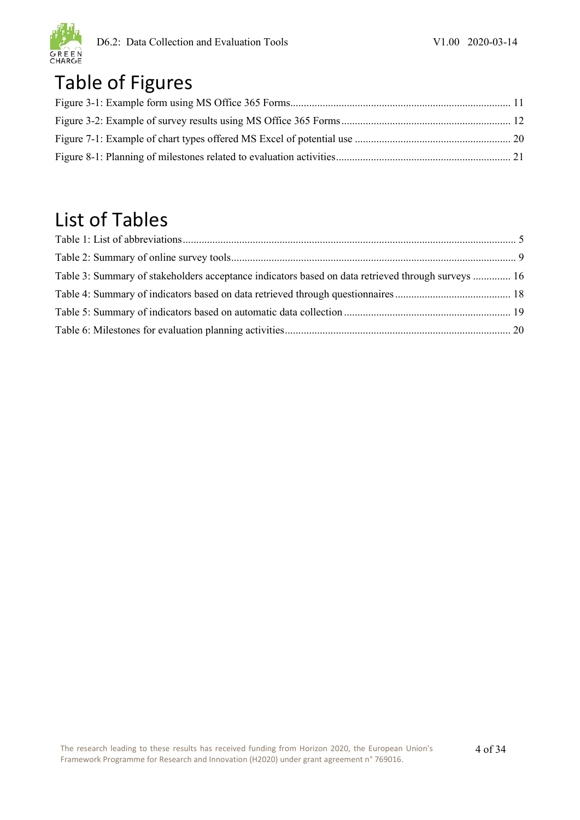

## Table of Figures

## List of Tables

| Table 3: Summary of stakeholders acceptance indicators based on data retrieved through surveys  16 |  |
|----------------------------------------------------------------------------------------------------|--|
|                                                                                                    |  |
|                                                                                                    |  |
|                                                                                                    |  |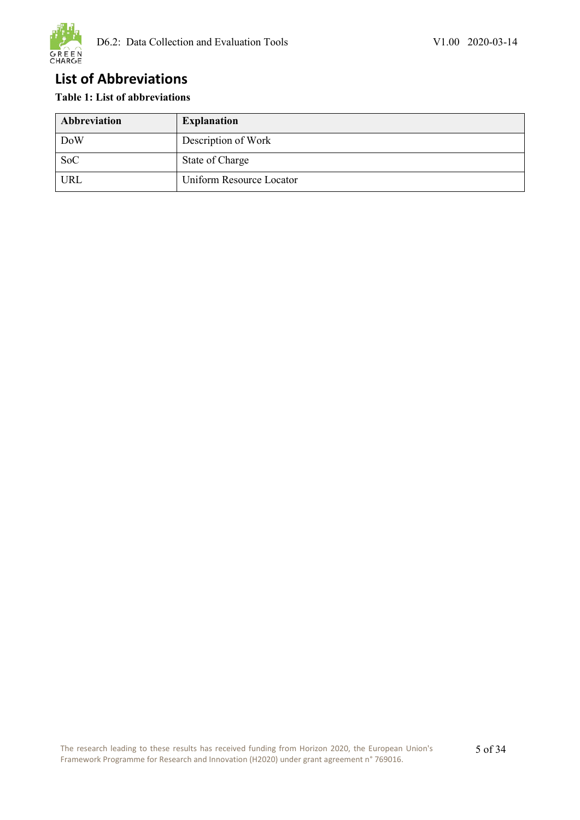

### <span id="page-6-0"></span>**List of Abbreviations**

### <span id="page-6-1"></span>**Table 1: List of abbreviations**

| Abbreviation | <b>Explanation</b>       |
|--------------|--------------------------|
| <b>DoW</b>   | Description of Work      |
| <b>SoC</b>   | State of Charge          |
| URL          | Uniform Resource Locator |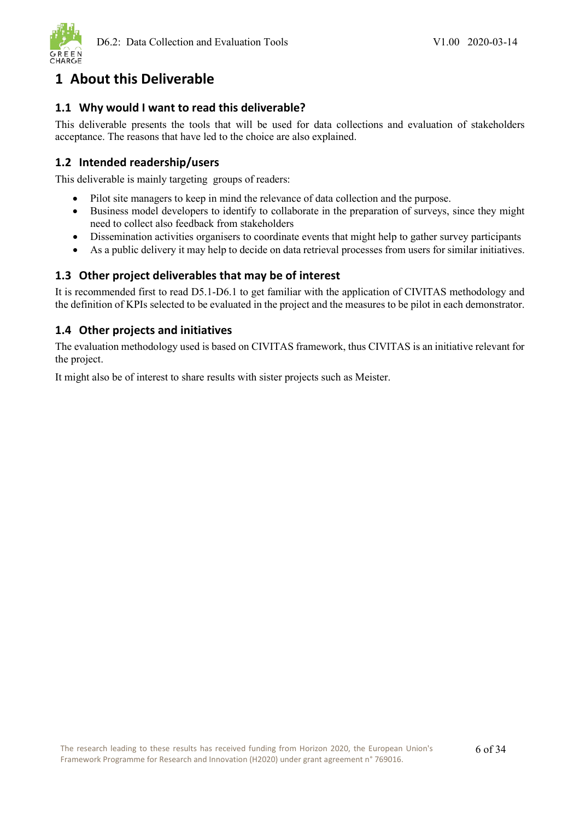

### <span id="page-7-0"></span>**1 About this Deliverable**

### <span id="page-7-1"></span>**1.1 Why would I want to read this deliverable?**

This deliverable presents the tools that will be used for data collections and evaluation of stakeholders acceptance. The reasons that have led to the choice are also explained.

### <span id="page-7-2"></span>**1.2 Intended readership/users**

This deliverable is mainly targeting groups of readers:

- Pilot site managers to keep in mind the relevance of data collection and the purpose.
- Business model developers to identify to collaborate in the preparation of surveys, since they might need to collect also feedback from stakeholders
- Dissemination activities organisers to coordinate events that might help to gather survey participants
- As a public delivery it may help to decide on data retrieval processes from users for similar initiatives.

### <span id="page-7-3"></span>**1.3 Other project deliverables that may be of interest**

It is recommended first to read D5.1-D6.1 to get familiar with the application of CIVITAS methodology and the definition of KPIs selected to be evaluated in the project and the measures to be pilot in each demonstrator.

### <span id="page-7-4"></span>**1.4 Other projects and initiatives**

The evaluation methodology used is based on CIVITAS framework, thus CIVITAS is an initiative relevant for the project.

It might also be of interest to share results with sister projects such as Meister.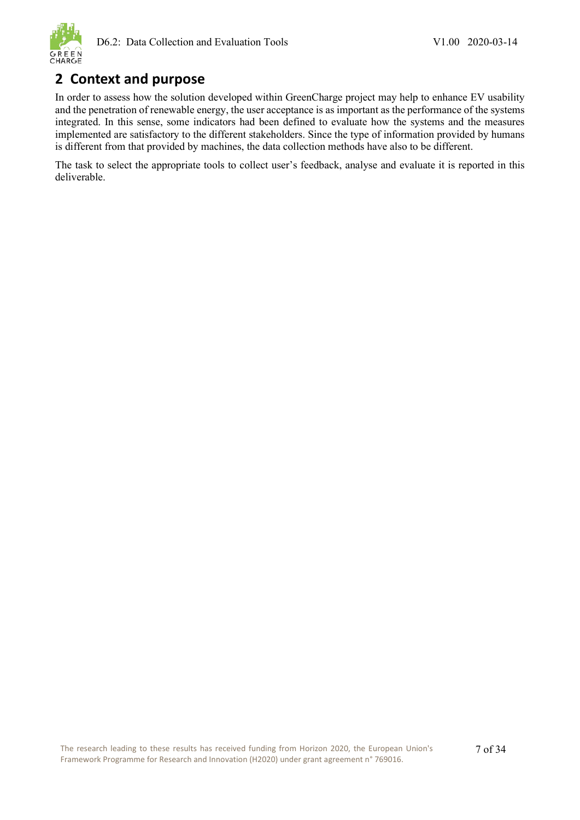

### <span id="page-8-0"></span>**2 Context and purpose**

In order to assess how the solution developed within GreenCharge project may help to enhance EV usability and the penetration of renewable energy, the user acceptance is as important as the performance of the systems integrated. In this sense, some indicators had been defined to evaluate how the systems and the measures implemented are satisfactory to the different stakeholders. Since the type of information provided by humans is different from that provided by machines, the data collection methods have also to be different.

The task to select the appropriate tools to collect user's feedback, analyse and evaluate it is reported in this deliverable.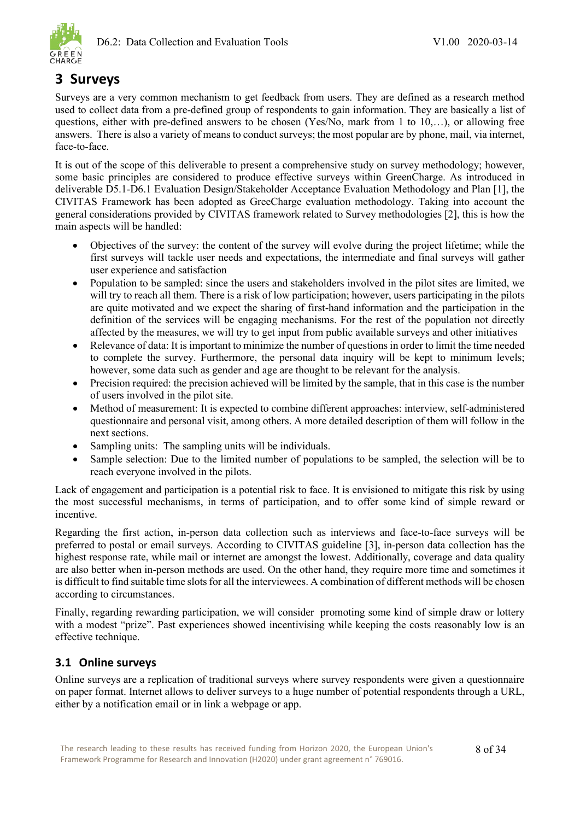

### <span id="page-9-0"></span>**3 Surveys**

Surveys are a very common mechanism to get feedback from users. They are defined as a research method used to collect data from a pre-defined group of respondents to gain information. They are basically a list of questions, either with pre-defined answers to be chosen (Yes/No, mark from 1 to 10,…), or allowing free answers. There is also a variety of means to conduct surveys; the most popular are by phone, mail, via internet, face-to-face.

It is out of the scope of this deliverable to present a comprehensive study on survey methodology; however, some basic principles are considered to produce effective surveys within GreenCharge. As introduced in deliverable D5.1-D6.1 Evaluation Design/Stakeholder Acceptance Evaluation Methodology and Plan [1], the CIVITAS Framework has been adopted as GreeCharge evaluation methodology. Taking into account the general considerations provided by CIVITAS framework related to Survey methodologies [2], this is how the main aspects will be handled:

- Objectives of the survey: the content of the survey will evolve during the project lifetime; while the first surveys will tackle user needs and expectations, the intermediate and final surveys will gather user experience and satisfaction
- Population to be sampled: since the users and stakeholders involved in the pilot sites are limited, we will try to reach all them. There is a risk of low participation; however, users participating in the pilots are quite motivated and we expect the sharing of first-hand information and the participation in the definition of the services will be engaging mechanisms. For the rest of the population not directly affected by the measures, we will try to get input from public available surveys and other initiatives
- Relevance of data: It is important to minimize the number of questions in order to limit the time needed to complete the survey. Furthermore, the personal data inquiry will be kept to minimum levels; however, some data such as gender and age are thought to be relevant for the analysis.
- Precision required: the precision achieved will be limited by the sample, that in this case is the number of users involved in the pilot site.
- Method of measurement: It is expected to combine different approaches: interview, self-administered questionnaire and personal visit, among others. A more detailed description of them will follow in the next sections.
- Sampling units: The sampling units will be individuals.
- Sample selection: Due to the limited number of populations to be sampled, the selection will be to reach everyone involved in the pilots.

Lack of engagement and participation is a potential risk to face. It is envisioned to mitigate this risk by using the most successful mechanisms, in terms of participation, and to offer some kind of simple reward or incentive.

Regarding the first action, in-person data collection such as interviews and face-to-face surveys will be preferred to postal or email surveys. According to CIVITAS guideline [3], in-person data collection has the highest response rate, while mail or internet are amongst the lowest. Additionally, coverage and data quality are also better when in-person methods are used. On the other hand, they require more time and sometimes it is difficult to find suitable time slots for all the interviewees. A combination of different methods will be chosen according to circumstances.

Finally, regarding rewarding participation, we will consider promoting some kind of simple draw or lottery with a modest "prize". Past experiences showed incentivising while keeping the costs reasonably low is an effective technique.

### <span id="page-9-1"></span>**3.1 Online surveys**

Online surveys are a replication of traditional surveys where survey respondents were given a questionnaire on paper format. Internet allows to deliver surveys to a huge number of potential respondents through a URL, either by a notification email or in link a webpage or app.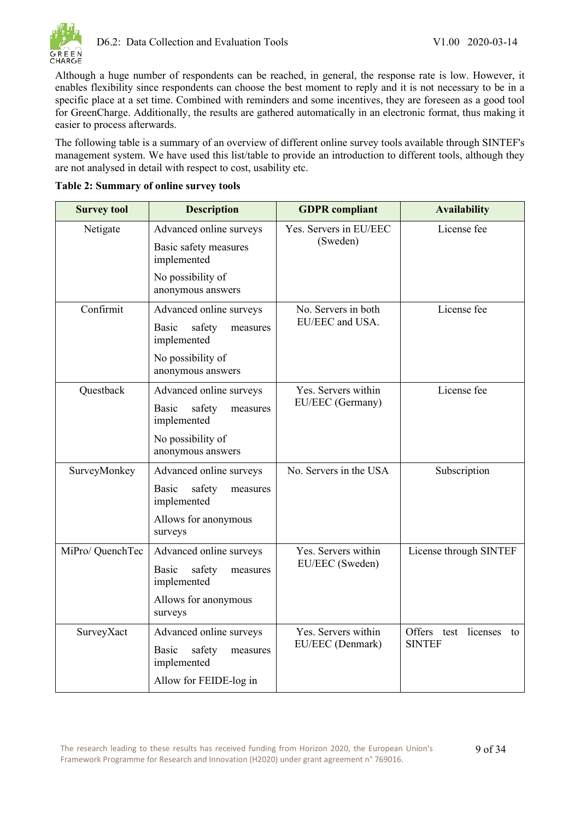Although a huge number of respondents can be reached, in general, the response rate is low. However, it enables flexibility since respondents can choose the best moment to reply and it is not necessary to be in a specific place at a set time. Combined with reminders and some incentives, they are foreseen as a good tool for GreenCharge. Additionally, the results are gathered automatically in an electronic format, thus making it easier to process afterwards.

The following table is a summary of an overview of different online survey tools available through SINTEF's management system. We have used this list/table to provide an introduction to different tools, although they are not analysed in detail with respect to cost, usability etc.

| <b>Survey tool</b> | <b>Description</b>                                              | <b>GDPR</b> compliant              | <b>Availability</b>     |  |
|--------------------|-----------------------------------------------------------------|------------------------------------|-------------------------|--|
| Netigate           | Advanced online surveys<br>Basic safety measures<br>implemented | Yes. Servers in EU/EEC<br>(Sweden) | License fee             |  |
|                    | No possibility of<br>anonymous answers                          |                                    |                         |  |
| Confirmit          | Advanced online surveys                                         | No. Servers in both                | License fee             |  |
|                    | <b>Basic</b><br>safety<br>measures<br>implemented               | EU/EEC and USA.                    |                         |  |
|                    | No possibility of<br>anonymous answers                          |                                    |                         |  |
| Questback          | Advanced online surveys                                         | Yes. Servers within                | License fee             |  |
|                    | safety<br>Basic<br>measures<br>implemented                      | EU/EEC (Germany)                   |                         |  |
|                    | No possibility of<br>anonymous answers                          |                                    |                         |  |
| SurveyMonkey       | Advanced online surveys                                         | No. Servers in the USA             | Subscription            |  |
|                    | Basic<br>safety<br>measures<br>implemented                      |                                    |                         |  |
|                    | Allows for anonymous<br>surveys                                 |                                    |                         |  |
| MiPro/ QuenchTec   | Advanced online surveys                                         | Yes. Servers within                | License through SINTEF  |  |
|                    | <b>Basic</b><br>safety<br>measures<br>implemented               | EU/EEC (Sweden)                    |                         |  |
|                    | Allows for anonymous<br>surveys                                 |                                    |                         |  |
| SurveyXact         | Advanced online surveys                                         | Yes. Servers within                | Offers test licenses to |  |
|                    | safety<br>Basic<br>measures<br>implemented                      | EU/EEC (Denmark)                   | <b>SINTEF</b>           |  |
|                    | Allow for FEIDE-log in                                          |                                    |                         |  |

<span id="page-10-0"></span>

|  | Table 2: Summary of online survey tools |
|--|-----------------------------------------|
|  |                                         |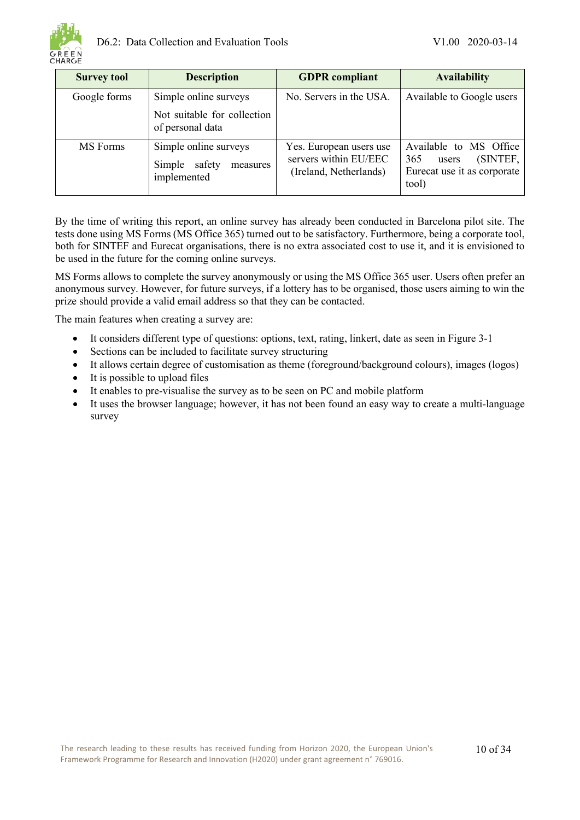

| <b>Survey tool</b> | <b>Description</b>                                                       | <b>GDPR</b> compliant                                                      | <b>Availability</b>                                                                        |
|--------------------|--------------------------------------------------------------------------|----------------------------------------------------------------------------|--------------------------------------------------------------------------------------------|
| Google forms       | Simple online surveys<br>Not suitable for collection<br>of personal data | No. Servers in the USA.                                                    | Available to Google users                                                                  |
| MS Forms           | Simple online surveys<br>safety<br>Simple<br>measures<br>implemented     | Yes. European users use<br>servers within EU/EEC<br>(Ireland, Netherlands) | Available to MS Office<br>(SINTEF,<br>365<br>users<br>Eurecat use it as corporate<br>tool) |

By the time of writing this report, an online survey has already been conducted in Barcelona pilot site. The tests done using MS Forms (MS Office 365) turned out to be satisfactory. Furthermore, being a corporate tool, both for SINTEF and Eurecat organisations, there is no extra associated cost to use it, and it is envisioned to be used in the future for the coming online surveys.

MS Forms allows to complete the survey anonymously or using the MS Office 365 user. Users often prefer an anonymous survey. However, for future surveys, if a lottery has to be organised, those users aiming to win the prize should provide a valid email address so that they can be contacted.

The main features when creating a survey are:

- It considers different type of questions: options, text, rating, linkert, date as seen in [Figure 3-1](#page-12-0)
- Sections can be included to facilitate survey structuring
- It allows certain degree of customisation as theme (foreground/background colours), images (logos)
- It is possible to upload files
- It enables to pre-visualise the survey as to be seen on PC and mobile platform
- It uses the browser language; however, it has not been found an easy way to create a multi-language survey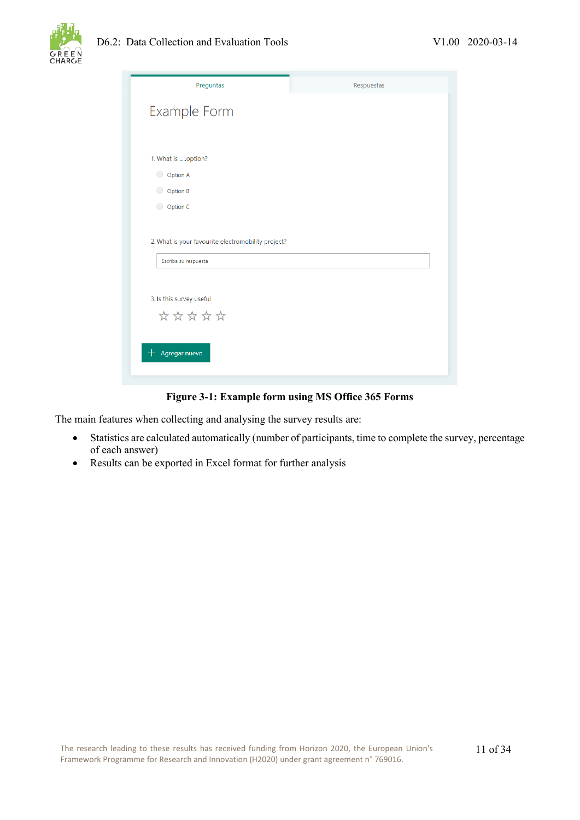

| Preguntas                                                                  | Respuestas |
|----------------------------------------------------------------------------|------------|
| Example Form                                                               |            |
|                                                                            |            |
| 1. What is option?                                                         |            |
| O Option A                                                                 |            |
| Option B<br>$\bigcirc$                                                     |            |
| O Option C                                                                 |            |
| 2. What is your favourite electromobility project?<br>Escriba su respuesta |            |
| 3. Is this survey useful                                                   |            |
| *****                                                                      |            |
| Agregar nuevo                                                              |            |

**Figure 3-1: Example form using MS Office 365 Forms**

<span id="page-12-0"></span>The main features when collecting and analysing the survey results are:

- Statistics are calculated automatically (number of participants, time to complete the survey, percentage of each answer)
- Results can be exported in Excel format for further analysis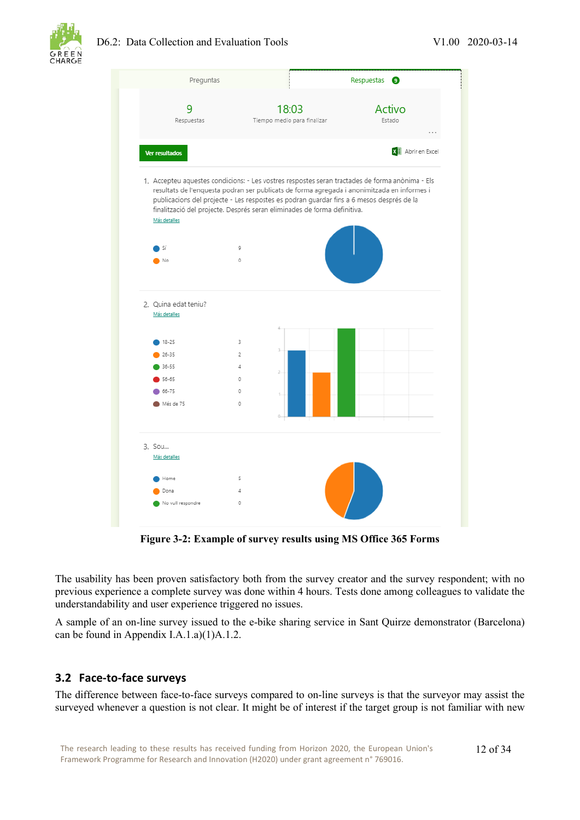

### D6.2: Data Collection and Evaluation Tools V1.00 2020-03-14



**Figure 3-2: Example of survey results using MS Office 365 Forms**

<span id="page-13-1"></span>The usability has been proven satisfactory both from the survey creator and the survey respondent; with no previous experience a complete survey was done within 4 hours. Tests done among colleagues to validate the understandability and user experience triggered no issues.

A sample of an on-line survey issued to the e-bike sharing service in Sant Quirze demonstrator (Barcelona) can be found in Appendix [I.A.1.a\)\(1\)A.1.2.](#page-29-0)

### <span id="page-13-0"></span>**3.2 Face-to-face surveys**

The difference between face-to-face surveys compared to on-line surveys is that the surveyor may assist the surveyed whenever a question is not clear. It might be of interest if the target group is not familiar with new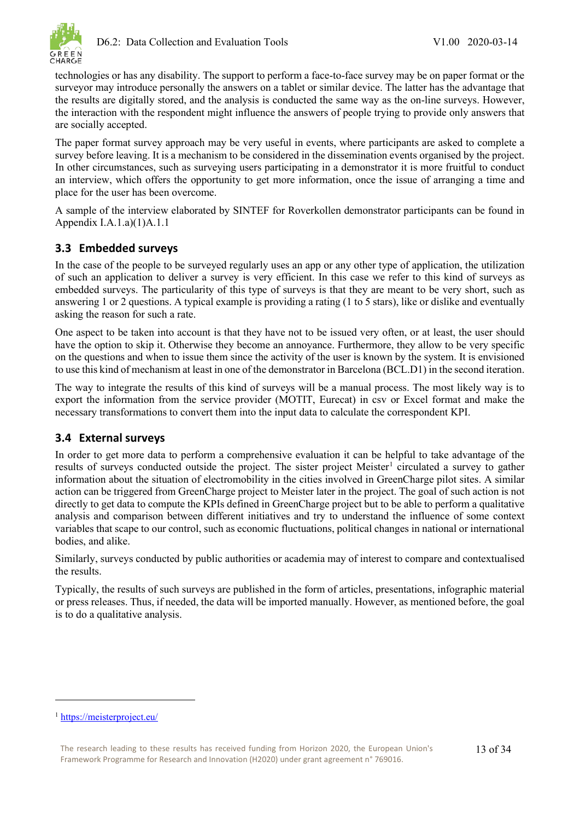

technologies or has any disability. The support to perform a face-to-face survey may be on paper format or the surveyor may introduce personally the answers on a tablet or similar device. The latter has the advantage that the results are digitally stored, and the analysis is conducted the same way as the on-line surveys. However, the interaction with the respondent might influence the answers of people trying to provide only answers that are socially accepted.

The paper format survey approach may be very useful in events, where participants are asked to complete a survey before leaving. It is a mechanism to be considered in the dissemination events organised by the project. In other circumstances, such as surveying users participating in a demonstrator it is more fruitful to conduct an interview, which offers the opportunity to get more information, once the issue of arranging a time and place for the user has been overcome.

A sample of the interview elaborated by SINTEF for Roverkollen demonstrator participants can be found in Appendix [I.A.1.a\)\(1\)A.1.1](#page-26-2)

### <span id="page-14-0"></span>**3.3 Embedded surveys**

In the case of the people to be surveyed regularly uses an app or any other type of application, the utilization of such an application to deliver a survey is very efficient. In this case we refer to this kind of surveys as embedded surveys. The particularity of this type of surveys is that they are meant to be very short, such as answering 1 or 2 questions. A typical example is providing a rating (1 to 5 stars), like or dislike and eventually asking the reason for such a rate.

One aspect to be taken into account is that they have not to be issued very often, or at least, the user should have the option to skip it. Otherwise they become an annoyance. Furthermore, they allow to be very specific on the questions and when to issue them since the activity of the user is known by the system. It is envisioned to use this kind of mechanism at least in one of the demonstrator in Barcelona (BCL.D1) in the second iteration.

The way to integrate the results of this kind of surveys will be a manual process. The most likely way is to export the information from the service provider (MOTIT, Eurecat) in csv or Excel format and make the necessary transformations to convert them into the input data to calculate the correspondent KPI.

### <span id="page-14-1"></span>**3.4 External surveys**

In order to get more data to perform a comprehensive evaluation it can be helpful to take advantage of the results of surveys conducted outside the project. The sister project Meister<sup>[1](#page-14-2)</sup> circulated a survey to gather information about the situation of electromobility in the cities involved in GreenCharge pilot sites. A similar action can be triggered from GreenCharge project to Meister later in the project. The goal of such action is not directly to get data to compute the KPIs defined in GreenCharge project but to be able to perform a qualitative analysis and comparison between different initiatives and try to understand the influence of some context variables that scape to our control, such as economic fluctuations, political changes in national or international bodies, and alike.

Similarly, surveys conducted by public authorities or academia may of interest to compare and contextualised the results.

Typically, the results of such surveys are published in the form of articles, presentations, infographic material or press releases. Thus, if needed, the data will be imported manually. However, as mentioned before, the goal is to do a qualitative analysis.

<span id="page-14-2"></span><sup>1</sup> <https://meisterproject.eu/>

The research leading to these results has received funding from Horizon 2020, the European Union's Framework Programme for Research and Innovation (H2020) under grant agreement n° 769016.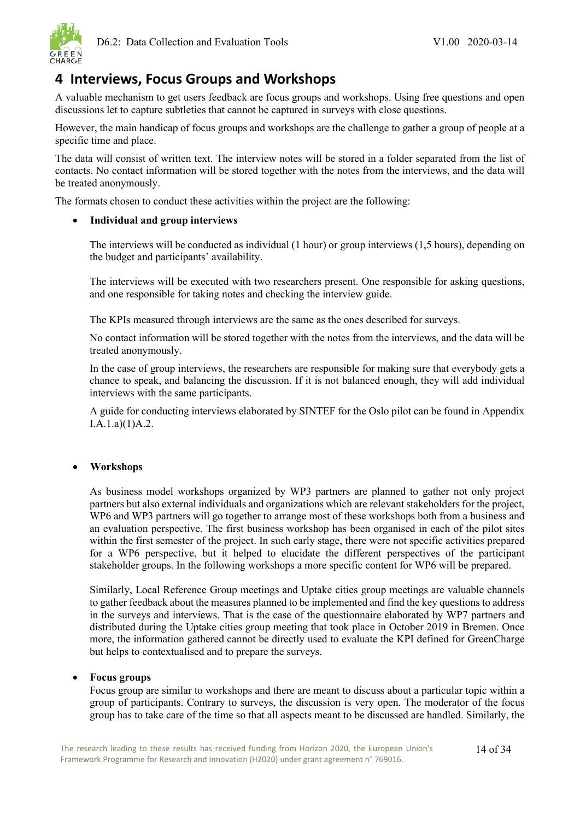

### <span id="page-15-0"></span>**4 Interviews, Focus Groups and Workshops**

A valuable mechanism to get users feedback are focus groups and workshops. Using free questions and open discussions let to capture subtleties that cannot be captured in surveys with close questions.

However, the main handicap of focus groups and workshops are the challenge to gather a group of people at a specific time and place.

The data will consist of written text. The interview notes will be stored in a folder separated from the list of contacts. No contact information will be stored together with the notes from the interviews, and the data will be treated anonymously.

The formats chosen to conduct these activities within the project are the following:

### • **Individual and group interviews**

The interviews will be conducted as individual (1 hour) or group interviews (1,5 hours), depending on the budget and participants' availability.

The interviews will be executed with two researchers present. One responsible for asking questions, and one responsible for taking notes and checking the interview guide.

The KPIs measured through interviews are the same as the ones described for surveys.

No contact information will be stored together with the notes from the interviews, and the data will be treated anonymously.

In the case of group interviews, the researchers are responsible for making sure that everybody gets a chance to speak, and balancing the discussion. If it is not balanced enough, they will add individual interviews with the same participants.

A guide for conducting interviews elaborated by SINTEF for the Oslo pilot can be found in Appendix [I.A.1.a\)\(1\)A.2.](#page-32-0)

### • **Workshops**

As business model workshops organized by WP3 partners are planned to gather not only project partners but also external individuals and organizations which are relevant stakeholders for the project, WP6 and WP3 partners will go together to arrange most of these workshops both from a business and an evaluation perspective. The first business workshop has been organised in each of the pilot sites within the first semester of the project. In such early stage, there were not specific activities prepared for a WP6 perspective, but it helped to elucidate the different perspectives of the participant stakeholder groups. In the following workshops a more specific content for WP6 will be prepared.

Similarly, Local Reference Group meetings and Uptake cities group meetings are valuable channels to gather feedback about the measures planned to be implemented and find the key questions to address in the surveys and interviews. That is the case of the questionnaire elaborated by WP7 partners and distributed during the Uptake cities group meeting that took place in October 2019 in Bremen. Once more, the information gathered cannot be directly used to evaluate the KPI defined for GreenCharge but helps to contextualised and to prepare the surveys.

### • **Focus groups**

Focus group are similar to workshops and there are meant to discuss about a particular topic within a group of participants. Contrary to surveys, the discussion is very open. The moderator of the focus group has to take care of the time so that all aspects meant to be discussed are handled. Similarly, the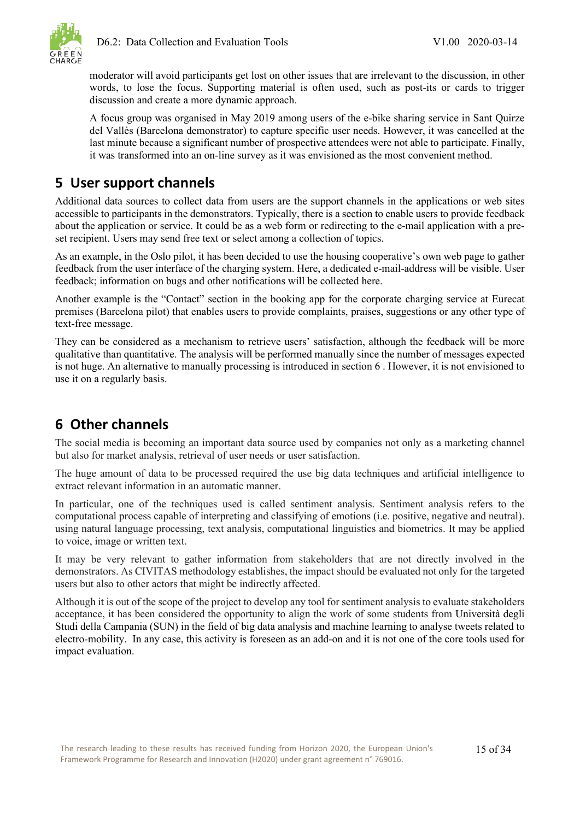

moderator will avoid participants get lost on other issues that are irrelevant to the discussion, in other words, to lose the focus. Supporting material is often used, such as post-its or cards to trigger discussion and create a more dynamic approach.

A focus group was organised in May 2019 among users of the e-bike sharing service in Sant Quirze del Vallès (Barcelona demonstrator) to capture specific user needs. However, it was cancelled at the last minute because a significant number of prospective attendees were not able to participate. Finally, it was transformed into an on-line survey as it was envisioned as the most convenient method.

### <span id="page-16-0"></span>**5 User support channels**

Additional data sources to collect data from users are the support channels in the applications or web sites accessible to participants in the demonstrators. Typically, there is a section to enable users to provide feedback about the application or service. It could be as a web form or redirecting to the e-mail application with a preset recipient. Users may send free text or select among a collection of topics.

As an example, in the Oslo pilot, it has been decided to use the housing cooperative's own web page to gather feedback from the user interface of the charging system. Here, a dedicated e-mail-address will be visible. User feedback; information on bugs and other notifications will be collected here.

Another example is the "Contact" section in the booking app for the corporate charging service at Eurecat premises (Barcelona pilot) that enables users to provide complaints, praises, suggestions or any other type of text-free message.

They can be considered as a mechanism to retrieve users' satisfaction, although the feedback will be more qualitative than quantitative. The analysis will be performed manually since the number of messages expected is not huge. An alternative to manually processing is introduced in section [6](#page-16-1) . However, it is not envisioned to use it on a regularly basis.

### <span id="page-16-1"></span>**6 Other channels**

The social media is becoming an important data source used by companies not only as a marketing channel but also for market analysis, retrieval of user needs or user satisfaction.

The huge amount of data to be processed required the use big data techniques and artificial intelligence to extract relevant information in an automatic manner.

In particular, one of the techniques used is called sentiment analysis. Sentiment analysis refers to the computational process capable of interpreting and classifying of emotions (i.e. positive, negative and neutral). using natural language processing, text analysis, computational linguistics and biometrics. It may be applied to voice, image or written text.

It may be very relevant to gather information from stakeholders that are not directly involved in the demonstrators. As CIVITAS methodology establishes, the impact should be evaluated not only for the targeted users but also to other actors that might be indirectly affected.

Although it is out of the scope of the project to develop any tool for sentiment analysis to evaluate stakeholders acceptance, it has been considered the opportunity to align the work of some students from Università degli Studi della Campania (SUN) in the field of big data analysis and machine learning to analyse tweets related to electro-mobility. In any case, this activity is foreseen as an add-on and it is not one of the core tools used for impact evaluation.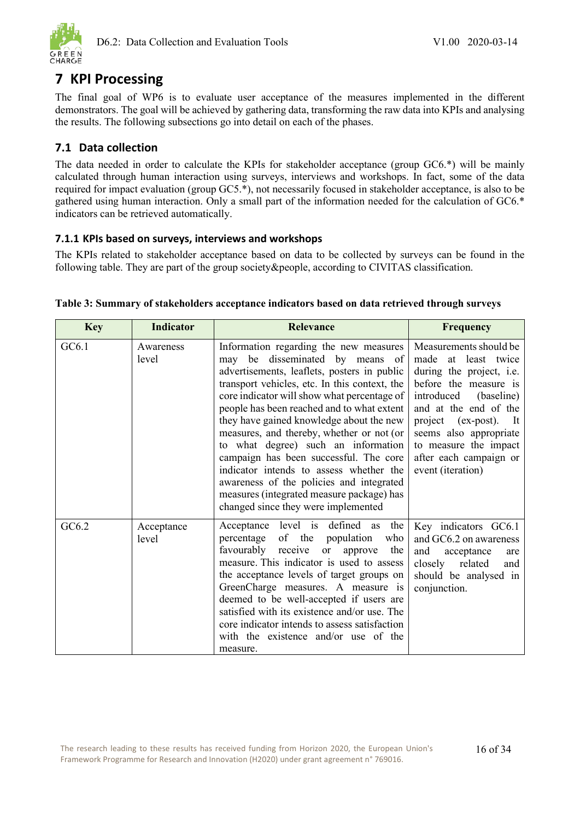

### <span id="page-17-0"></span>**7 KPI Processing**

The final goal of WP6 is to evaluate user acceptance of the measures implemented in the different demonstrators. The goal will be achieved by gathering data, transforming the raw data into KPIs and analysing the results. The following subsections go into detail on each of the phases.

### <span id="page-17-1"></span>**7.1 Data collection**

The data needed in order to calculate the KPIs for stakeholder acceptance (group GC6.\*) will be mainly calculated through human interaction using surveys, interviews and workshops. In fact, some of the data required for impact evaluation (group GC5.\*), not necessarily focused in stakeholder acceptance, is also to be gathered using human interaction. Only a small part of the information needed for the calculation of GC6.\* indicators can be retrieved automatically.

### <span id="page-17-2"></span>**7.1.1 KPIs based on surveys, interviews and workshops**

The KPIs related to stakeholder acceptance based on data to be collected by surveys can be found in the following table. They are part of the group society&people, according to CIVITAS classification.

| <b>Key</b> | <b>Indicator</b>    | <b>Relevance</b>                                                                                                                                                                                                                                                                                                                                                                                                                                                                                                                                                                                                            | <b>Frequency</b>                                                                                                                                                                                                                                                                         |
|------------|---------------------|-----------------------------------------------------------------------------------------------------------------------------------------------------------------------------------------------------------------------------------------------------------------------------------------------------------------------------------------------------------------------------------------------------------------------------------------------------------------------------------------------------------------------------------------------------------------------------------------------------------------------------|------------------------------------------------------------------------------------------------------------------------------------------------------------------------------------------------------------------------------------------------------------------------------------------|
| GC6.1      | Awareness<br>level  | Information regarding the new measures<br>may be disseminated by means of<br>advertisements, leaflets, posters in public<br>transport vehicles, etc. In this context, the<br>core indicator will show what percentage of<br>people has been reached and to what extent<br>they have gained knowledge about the new<br>measures, and thereby, whether or not (or<br>to what degree) such an information<br>campaign has been successful. The core<br>indicator intends to assess whether the<br>awareness of the policies and integrated<br>measures (integrated measure package) has<br>changed since they were implemented | Measurements should be<br>made<br>at<br>least twice<br>during the project, i.e.<br>before the measure is<br>introduced<br>(baseline)<br>and at the end of the<br>project (ex-post). It<br>seems also appropriate<br>to measure the impact<br>after each campaign or<br>event (iteration) |
| GC6.2      | Acceptance<br>level | Acceptance level is defined as<br>the<br>of the population<br>percentage<br>who<br>favourably<br>receive<br>the<br><b>or</b><br>approve<br>measure. This indicator is used to assess<br>the acceptance levels of target groups on<br>GreenCharge measures. A measure is<br>deemed to be well-accepted if users are<br>satisfied with its existence and/or use. The<br>core indicator intends to assess satisfaction<br>with the existence and/or use of the<br>measure.                                                                                                                                                     | Key indicators GC6.1<br>and GC6.2 on awareness<br>and<br>acceptance<br>are<br>related<br>closely<br>and<br>should be analysed in<br>conjunction.                                                                                                                                         |

### <span id="page-17-3"></span>**Table 3: Summary of stakeholders acceptance indicators based on data retrieved through surveys**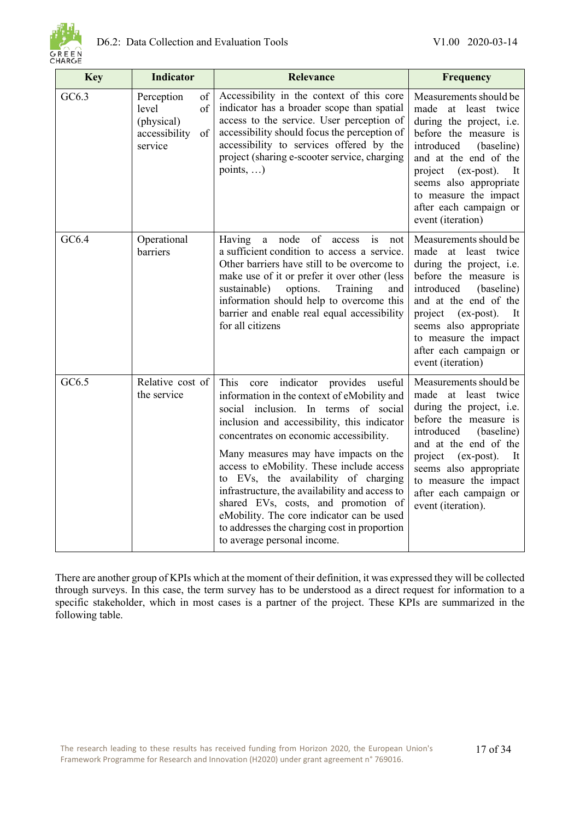

| <b>Key</b> | <b>Indicator</b>                                                                | <b>Relevance</b>                                                                                                                                                                                                                                                                                                                                                                                                                                                                                                                                                        | <b>Frequency</b>                                                                                                                                                                                                                                                                              |
|------------|---------------------------------------------------------------------------------|-------------------------------------------------------------------------------------------------------------------------------------------------------------------------------------------------------------------------------------------------------------------------------------------------------------------------------------------------------------------------------------------------------------------------------------------------------------------------------------------------------------------------------------------------------------------------|-----------------------------------------------------------------------------------------------------------------------------------------------------------------------------------------------------------------------------------------------------------------------------------------------|
| GC6.3      | Perception<br>of<br>level<br>of<br>(physical)<br>accessibility<br>of<br>service | Accessibility in the context of this core<br>indicator has a broader scope than spatial<br>access to the service. User perception of<br>accessibility should focus the perception of<br>accessibility to services offered by the<br>project (sharing e-scooter service, charging<br>points, $\dots$ )                                                                                                                                                                                                                                                                   | Measurements should be<br>made<br>at least twice<br>during the project, i.e.<br>before the measure is<br>introduced<br>(baseline)<br>and at the end of the<br>project<br>$(ex-post).$<br>It<br>seems also appropriate<br>to measure the impact<br>after each campaign or<br>event (iteration) |
| GC6.4      | Operational<br>barriers                                                         | a node<br>of<br>access<br>is<br>Having<br>not<br>a sufficient condition to access a service.<br>Other barriers have still to be overcome to<br>make use of it or prefer it over other (less<br>options.<br>sustainable)<br>Training<br>and<br>information should help to overcome this<br>barrier and enable real equal accessibility<br>for all citizens                                                                                                                                                                                                               | Measurements should be<br>made at least twice<br>during the project, i.e.<br>before the measure is<br>introduced<br>(baseline)<br>and at the end of the<br>project (ex-post).<br>It<br>seems also appropriate<br>to measure the impact<br>after each campaign or<br>event (iteration)         |
| GC6.5      | Relative cost of<br>the service                                                 | This core indicator provides useful<br>information in the context of eMobility and<br>social inclusion. In terms of social<br>inclusion and accessibility, this indicator<br>concentrates on economic accessibility.<br>Many measures may have impacts on the<br>access to eMobility. These include access<br>to EVs, the availability of charging<br>infrastructure, the availability and access to<br>shared EVs, costs, and promotion of<br>eMobility. The core indicator can be used<br>to addresses the charging cost in proportion<br>to average personal income. | Measurements should be<br>made at least twice<br>during the project, i.e.<br>before the measure is<br>introduced<br>(baseline)<br>and at the end of the<br>project (ex-post).<br>It<br>seems also appropriate<br>to measure the impact<br>after each campaign or<br>event (iteration).        |

There are another group of KPIs which at the moment of their definition, it was expressed they will be collected through surveys. In this case, the term survey has to be understood as a direct request for information to a specific stakeholder, which in most cases is a partner of the project. These KPIs are summarized in the following table.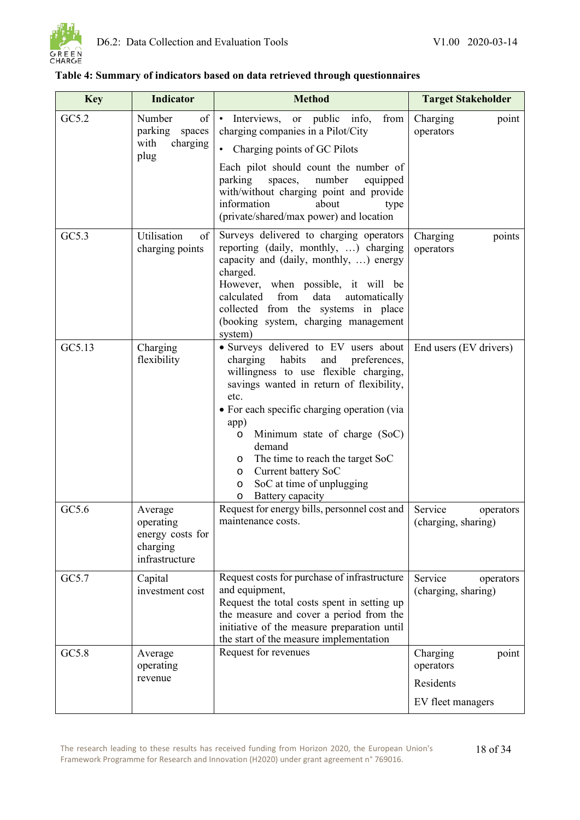

| <b>Key</b> | <b>Indicator</b>                                                       | <b>Method</b>                                                                                                                                                                                                                                                                                                                                                                                                                                  | <b>Target Stakeholder</b>                                        |
|------------|------------------------------------------------------------------------|------------------------------------------------------------------------------------------------------------------------------------------------------------------------------------------------------------------------------------------------------------------------------------------------------------------------------------------------------------------------------------------------------------------------------------------------|------------------------------------------------------------------|
| GC5.2      | Number<br>of<br>parking<br>spaces<br>with<br>charging                  | Interviews, or public info,<br>from<br>$\bullet$<br>charging companies in a Pilot/City<br>Charging points of GC Pilots<br>$\bullet$                                                                                                                                                                                                                                                                                                            | Charging<br>point<br>operators                                   |
|            | plug                                                                   | Each pilot should count the number of<br>parking<br>number<br>spaces,<br>equipped<br>with/without charging point and provide<br>information<br>about<br>type<br>(private/shared/max power) and location                                                                                                                                                                                                                                        |                                                                  |
| GC5.3      | Utilisation<br>of<br>charging points                                   | Surveys delivered to charging operators<br>reporting (daily, monthly, ) charging<br>capacity and (daily, monthly, ) energy<br>charged.<br>However, when possible, it will be<br>calculated from<br>data<br>automatically<br>collected from the systems in place<br>(booking system, charging management<br>system)                                                                                                                             | Charging<br>points<br>operators                                  |
| GC5.13     | Charging<br>flexibility                                                | · Surveys delivered to EV users about<br>habits<br>charging<br>and<br>preferences,<br>willingness to use flexible charging,<br>savings wanted in return of flexibility,<br>etc.<br>• For each specific charging operation (via<br>app)<br>Minimum state of charge (SoC)<br>$\circ$<br>demand<br>The time to reach the target SoC<br>$\circ$<br>Current battery SoC<br>$\circ$<br>SoC at time of unplugging<br>$\circ$<br>Battery capacity<br>O | End users (EV drivers)                                           |
| GC5.6      | Average<br>operating<br>energy costs for<br>charging<br>infrastructure | Request for energy bills, personnel cost and<br>maintenance costs.                                                                                                                                                                                                                                                                                                                                                                             | Service<br>operators<br>(charging, sharing)                      |
| GC5.7      | Capital<br>investment cost                                             | Request costs for purchase of infrastructure<br>and equipment,<br>Request the total costs spent in setting up<br>the measure and cover a period from the<br>initiative of the measure preparation until<br>the start of the measure implementation                                                                                                                                                                                             | Service<br>operators<br>(charging, sharing)                      |
| GC5.8      | Average<br>operating<br>revenue                                        | Request for revenues                                                                                                                                                                                                                                                                                                                                                                                                                           | Charging<br>point<br>operators<br>Residents<br>EV fleet managers |

### <span id="page-19-0"></span>**Table 4: Summary of indicators based on data retrieved through questionnaires**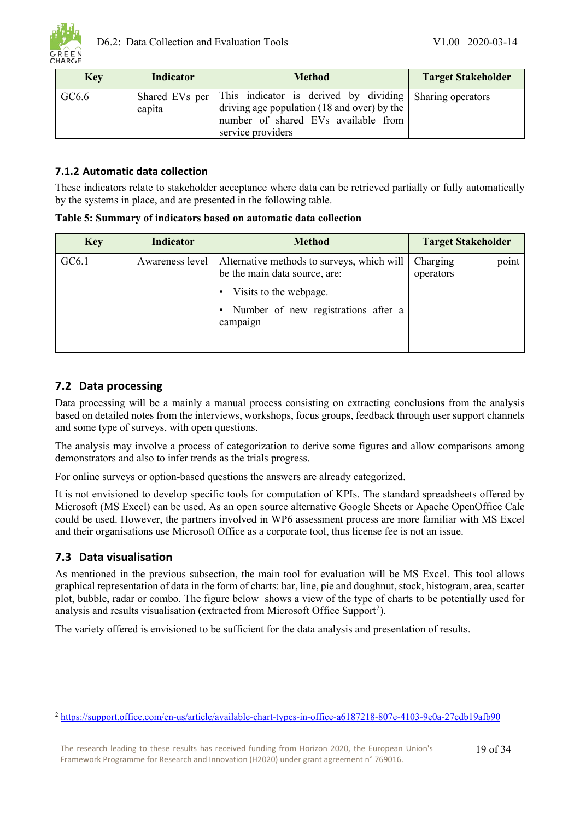

| <b>Key</b> | Indicator | <b>Method</b>                                                                                                                                                                     | <b>Target Stakeholder</b> |
|------------|-----------|-----------------------------------------------------------------------------------------------------------------------------------------------------------------------------------|---------------------------|
| GC6.6      | capita    | Shared EVs per This indicator is derived by dividing Sharing operators<br>driving age population (18 and over) by the<br>number of shared EVs available from<br>service providers |                           |

### <span id="page-20-0"></span>**7.1.2 Automatic data collection**

These indicators relate to stakeholder acceptance where data can be retrieved partially or fully automatically by the systems in place, and are presented in the following table.

<span id="page-20-3"></span>

|  |  | Table 5: Summary of indicators based on automatic data collection |  |
|--|--|-------------------------------------------------------------------|--|
|  |  |                                                                   |  |

| <b>Key</b> | <b>Indicator</b> | <b>Method</b>                                                               | <b>Target Stakeholder</b>      |
|------------|------------------|-----------------------------------------------------------------------------|--------------------------------|
| GC6.1      | Awareness level  | Alternative methods to surveys, which will<br>be the main data source, are: | point<br>Charging<br>operators |
|            |                  | Visits to the webpage.                                                      |                                |
|            |                  | Number of new registrations after a<br>campaign                             |                                |

### <span id="page-20-1"></span>**7.2 Data processing**

Data processing will be a mainly a manual process consisting on extracting conclusions from the analysis based on detailed notes from the interviews, workshops, focus groups, feedback through user support channels and some type of surveys, with open questions.

The analysis may involve a process of categorization to derive some figures and allow comparisons among demonstrators and also to infer trends as the trials progress.

For online surveys or option-based questions the answers are already categorized.

It is not envisioned to develop specific tools for computation of KPIs. The standard spreadsheets offered by Microsoft (MS Excel) can be used. As an open source alternative Google Sheets or Apache OpenOffice Calc could be used. However, the partners involved in WP6 assessment process are more familiar with MS Excel and their organisations use Microsoft Office as a corporate tool, thus license fee is not an issue.

### <span id="page-20-2"></span>**7.3 Data visualisation**

As mentioned in the previous subsection, the main tool for evaluation will be MS Excel. This tool allows graphical representation of data in the form of charts: bar, line, pie and doughnut, stock, histogram, area, scatter plot, bubble, radar or combo. The figure below shows a view of the type of charts to be potentially used for analysis and results visualisation (extracted from Microsoft Office Support<sup>[2](#page-20-4)</sup>).

The variety offered is envisioned to be sufficient for the data analysis and presentation of results.

<span id="page-20-4"></span><sup>2</sup> <https://support.office.com/en-us/article/available-chart-types-in-office-a6187218-807e-4103-9e0a-27cdb19afb90>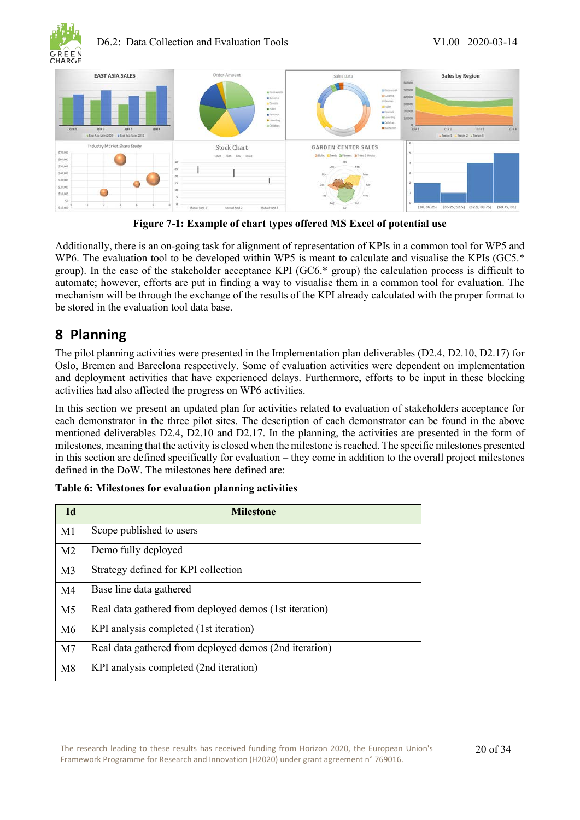

### D6.2: Data Collection and Evaluation Tools V1.00 2020-03-14



**Figure 7-1: Example of chart types offered MS Excel of potential use**

<span id="page-21-1"></span>Additionally, there is an on-going task for alignment of representation of KPIs in a common tool for WP5 and WP6. The evaluation tool to be developed within WP5 is meant to calculate and visualise the KPIs (GC5.<sup>\*</sup> group). In the case of the stakeholder acceptance KPI (GC6.\* group) the calculation process is difficult to automate; however, efforts are put in finding a way to visualise them in a common tool for evaluation. The mechanism will be through the exchange of the results of the KPI already calculated with the proper format to be stored in the evaluation tool data base.

### <span id="page-21-0"></span>**8 Planning**

The pilot planning activities were presented in the Implementation plan deliverables (D2.4, D2.10, D2.17) for Oslo, Bremen and Barcelona respectively. Some of evaluation activities were dependent on implementation and deployment activities that have experienced delays. Furthermore, efforts to be input in these blocking activities had also affected the progress on WP6 activities.

In this section we present an updated plan for activities related to evaluation of stakeholders acceptance for each demonstrator in the three pilot sites. The description of each demonstrator can be found in the above mentioned deliverables D2.4, D2.10 and D2.17. In the planning, the activities are presented in the form of milestones, meaning that the activity is closed when the milestone is reached. The specific milestones presented in this section are defined specifically for evaluation – they come in addition to the overall project milestones defined in the DoW. The milestones here defined are:

| Id             | <b>Milestone</b>                                       |
|----------------|--------------------------------------------------------|
| M1             | Scope published to users                               |
| M <sub>2</sub> | Demo fully deployed                                    |
| M <sub>3</sub> | Strategy defined for KPI collection                    |
| M4             | Base line data gathered                                |
| M <sub>5</sub> | Real data gathered from deployed demos (1st iteration) |
| M6             | KPI analysis completed (1st iteration)                 |
| M <sub>7</sub> | Real data gathered from deployed demos (2nd iteration) |
| M8             | KPI analysis completed (2nd iteration)                 |

<span id="page-21-2"></span>

| Table 6: Milestones for evaluation planning activities |  |  |
|--------------------------------------------------------|--|--|
|                                                        |  |  |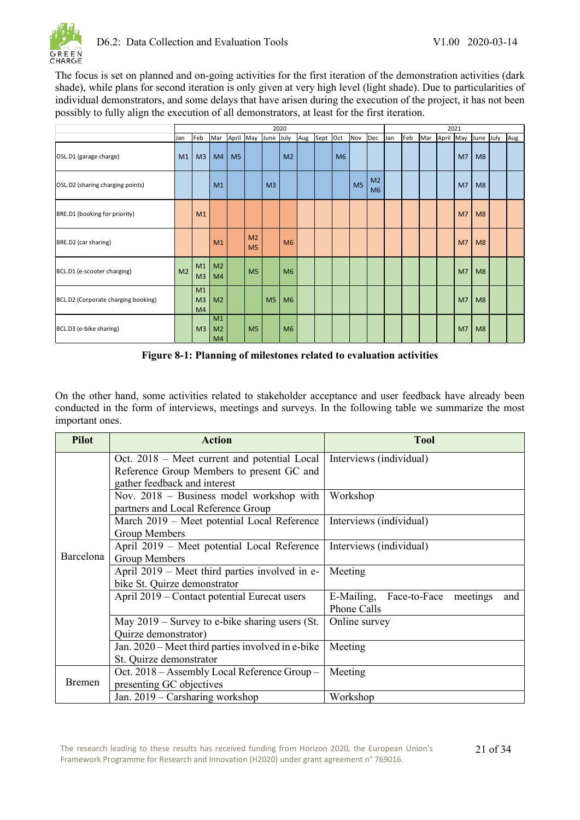

The focus is set on planned and on-going activities for the first iteration of the demonstration activities (dark shade), while plans for second iteration is only given at very high level (light shade). Due to particularities of individual demonstrators, and some delays that have arisen during the execution of the project, it has not been possibly to fully align the execution of all demonstrators, at least for the first iteration.

|                                     |                | 2020                       |                            |                |                                  | 2021           |                |     |          |                |                |                                  |     |     |     |           |                |           |     |
|-------------------------------------|----------------|----------------------------|----------------------------|----------------|----------------------------------|----------------|----------------|-----|----------|----------------|----------------|----------------------------------|-----|-----|-----|-----------|----------------|-----------|-----|
|                                     | Jan            | Feb                        | Mar                        | April          | May June July                    |                |                | Aug | Sept Oct |                | Nov            | Dec                              | Jan | Feb | Mar | April May |                | June July | Aug |
| OSL.D1 (garage charge)              | M1             | M <sub>3</sub>             | M4                         | M <sub>5</sub> |                                  |                | M <sub>2</sub> |     |          | M <sub>6</sub> |                |                                  |     |     |     |           | M <sub>7</sub> | M8        |     |
| OSL.D2 (sharing charging points)    |                |                            | M1                         |                |                                  | M <sub>3</sub> |                |     |          |                | M <sub>5</sub> | M <sub>2</sub><br>M <sub>6</sub> |     |     |     |           | M <sub>7</sub> | M8        |     |
| BRE.D1 (booking for priority)       |                | M1                         |                            |                |                                  |                |                |     |          |                |                |                                  |     |     |     |           | M <sub>7</sub> | M8        |     |
| BRE.D2 (car sharing)                |                |                            | M1                         |                | M <sub>2</sub><br>M <sub>5</sub> |                | M6             |     |          |                |                |                                  |     |     |     |           | M <sub>7</sub> | M8        |     |
| BCL.D1 (e-scooter charging)         | M <sub>2</sub> | M1<br>M <sub>3</sub>       | M <sub>2</sub><br>M4       |                | M <sub>5</sub>                   |                | M <sub>6</sub> |     |          |                |                |                                  |     |     |     |           | M <sub>7</sub> | M8        |     |
| BCL.D2 (Corporate charging booking) |                | M1<br>M <sub>3</sub><br>M4 | M <sub>2</sub>             |                |                                  | M <sub>5</sub> | M <sub>6</sub> |     |          |                |                |                                  |     |     |     |           | M <sub>7</sub> | M8        |     |
| BCL.D3 (e-bike sharing)             |                | M <sub>3</sub>             | M1<br>M <sub>2</sub><br>M4 |                | M <sub>5</sub>                   |                | M <sub>6</sub> |     |          |                |                |                                  |     |     |     |           | M <sub>7</sub> | M8        |     |

**Figure 8-1: Planning of milestones related to evaluation activities**

<span id="page-22-0"></span>On the other hand, some activities related to stakeholder acceptance and user feedback have already been conducted in the form of interviews, meetings and surveys. In the following table we summarize the most important ones.

| <b>Pilot</b> | <b>Action</b>                                     | <b>Tool</b>                             |  |  |  |  |
|--------------|---------------------------------------------------|-----------------------------------------|--|--|--|--|
|              | Oct. 2018 - Meet current and potential Local      | Interviews (individual)                 |  |  |  |  |
|              | Reference Group Members to present GC and         |                                         |  |  |  |  |
|              | gather feedback and interest                      |                                         |  |  |  |  |
|              | Nov. 2018 – Business model workshop with          | Workshop                                |  |  |  |  |
|              | partners and Local Reference Group                |                                         |  |  |  |  |
|              | March 2019 - Meet potential Local Reference       | Interviews (individual)                 |  |  |  |  |
|              | Group Members                                     |                                         |  |  |  |  |
|              | April 2019 - Meet potential Local Reference       | Interviews (individual)                 |  |  |  |  |
| Barcelona    | Group Members                                     |                                         |  |  |  |  |
|              | April 2019 – Meet third parties involved in e-    | Meeting                                 |  |  |  |  |
|              | bike St. Quirze demonstrator                      |                                         |  |  |  |  |
|              | April 2019 – Contact potential Eurecat users      | E-Mailing, Face-to-Face meetings<br>and |  |  |  |  |
|              |                                                   | Phone Calls                             |  |  |  |  |
|              | May $2019$ – Survey to e-bike sharing users (St.  | Online survey                           |  |  |  |  |
|              | Quirze demonstrator)                              |                                         |  |  |  |  |
|              | Jan. 2020 – Meet third parties involved in e-bike | Meeting                                 |  |  |  |  |
|              | St. Quirze demonstrator                           |                                         |  |  |  |  |
|              | Oct. 2018 – Assembly Local Reference Group –      | Meeting                                 |  |  |  |  |
| Bremen       | presenting GC objectives                          |                                         |  |  |  |  |
|              | Jan. $2019$ – Carsharing workshop                 | Workshop                                |  |  |  |  |

The research leading to these results has received funding from Horizon 2020, the European Union's Framework Programme for Research and Innovation (H2020) under grant agreement n° 769016.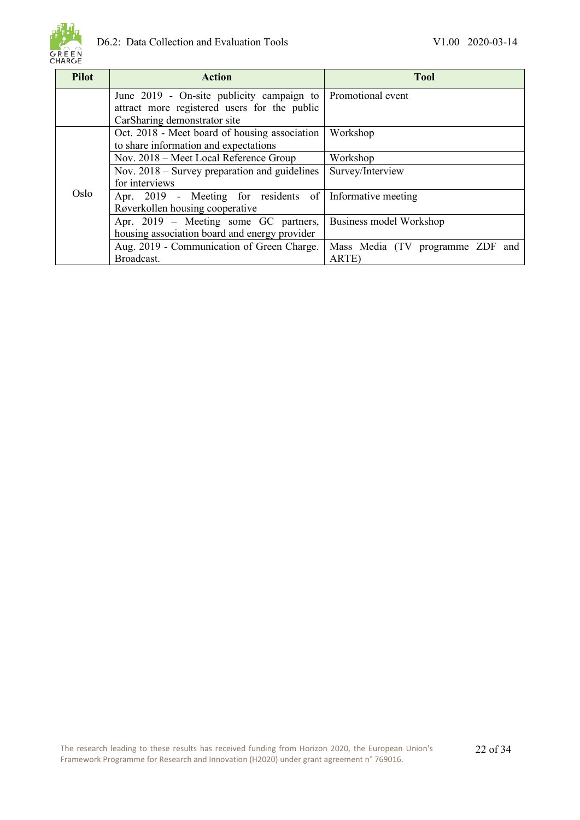

| <b>Pilot</b> | <b>Action</b>                                            | <b>Tool</b>                      |  |  |  |  |
|--------------|----------------------------------------------------------|----------------------------------|--|--|--|--|
|              | June 2019 - On-site publicity campaign to                | Promotional event                |  |  |  |  |
|              | attract more registered users for the public             |                                  |  |  |  |  |
|              | CarSharing demonstrator site                             |                                  |  |  |  |  |
|              | Oct. 2018 - Meet board of housing association            | Workshop                         |  |  |  |  |
|              | to share information and expectations                    |                                  |  |  |  |  |
|              | Nov. 2018 – Meet Local Reference Group                   | Workshop                         |  |  |  |  |
|              | Nov. $2018$ – Survey preparation and guidelines          | Survey/Interview                 |  |  |  |  |
|              | for interviews                                           |                                  |  |  |  |  |
| Oslo         | Apr. 2019 - Meeting for residents of Informative meeting |                                  |  |  |  |  |
|              | Røverkollen housing cooperative                          |                                  |  |  |  |  |
|              | Apr. 2019 – Meeting some GC partners,                    | Business model Workshop          |  |  |  |  |
|              | housing association board and energy provider            |                                  |  |  |  |  |
|              | Aug. 2019 - Communication of Green Charge.               | Mass Media (TV programme ZDF and |  |  |  |  |
|              | Broadcast.                                               | ARTE)                            |  |  |  |  |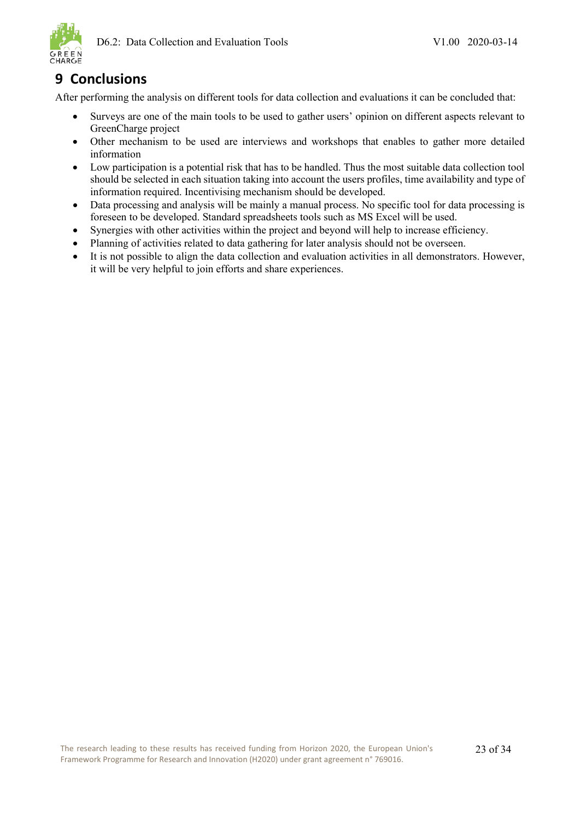

### <span id="page-24-0"></span>**9 Conclusions**

After performing the analysis on different tools for data collection and evaluations it can be concluded that:

- Surveys are one of the main tools to be used to gather users' opinion on different aspects relevant to GreenCharge project
- Other mechanism to be used are interviews and workshops that enables to gather more detailed information
- Low participation is a potential risk that has to be handled. Thus the most suitable data collection tool should be selected in each situation taking into account the users profiles, time availability and type of information required. Incentivising mechanism should be developed.
- Data processing and analysis will be mainly a manual process. No specific tool for data processing is foreseen to be developed. Standard spreadsheets tools such as MS Excel will be used.
- Synergies with other activities within the project and beyond will help to increase efficiency.
- Planning of activities related to data gathering for later analysis should not be overseen.
- It is not possible to align the data collection and evaluation activities in all demonstrators. However, it will be very helpful to join efforts and share experiences.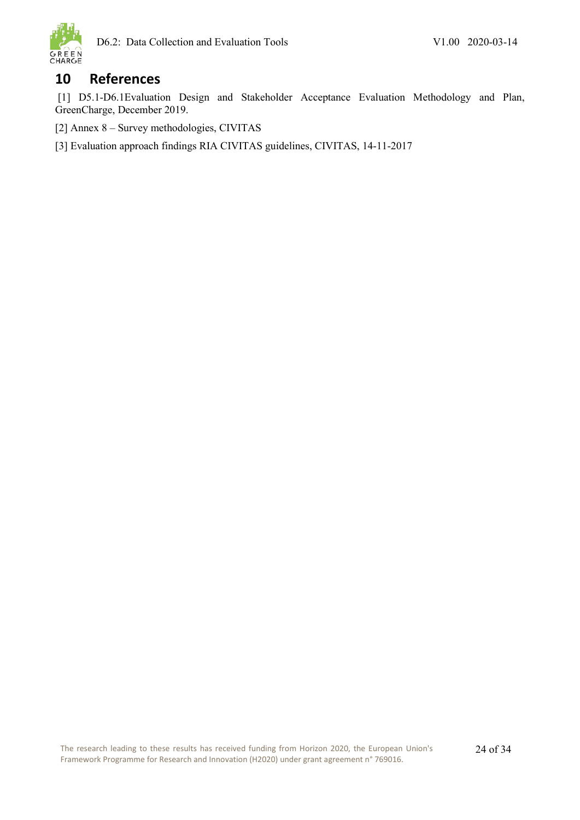

### <span id="page-25-0"></span>**10 References**

[1] D5.1-D6.1Evaluation Design and Stakeholder Acceptance Evaluation Methodology and Plan, GreenCharge, December 2019.

[2] Annex 8 – Survey methodologies, CIVITAS

[3] Evaluation approach findings RIA CIVITAS guidelines, CIVITAS, 14-11-2017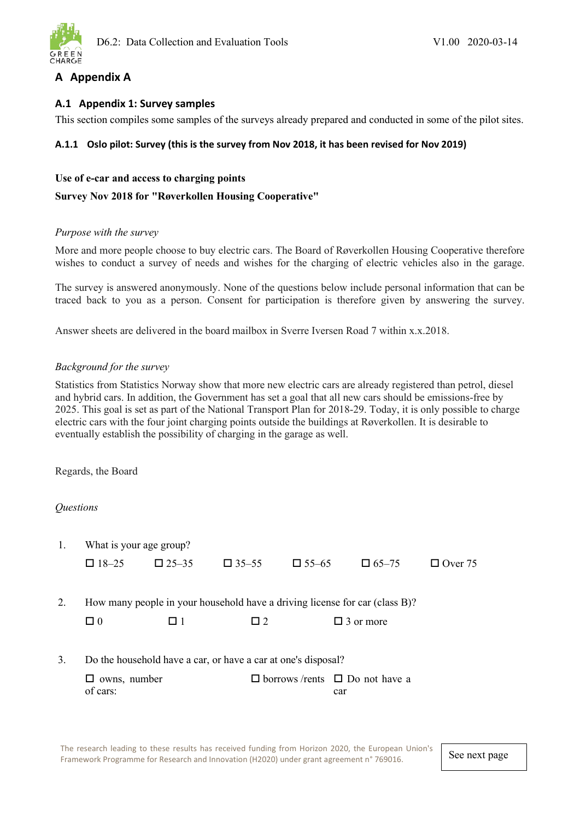

### <span id="page-26-0"></span>**A Appendix A**

### <span id="page-26-1"></span>**A.1 Appendix 1: Survey samples**

This section compiles some samples of the surveys already prepared and conducted in some of the pilot sites.

### <span id="page-26-2"></span>**A.1.1 Oslo pilot: Survey (this is the survey from Nov 2018, it has been revised for Nov 2019)**

### **Use of e-car and access to charging points**

### **Survey Nov 2018 for "Røverkollen Housing Cooperative"**

### *Purpose with the survey*

More and more people choose to buy electric cars. The Board of Røverkollen Housing Cooperative therefore wishes to conduct a survey of needs and wishes for the charging of electric vehicles also in the garage.

The survey is answered anonymously. None of the questions below include personal information that can be traced back to you as a person. Consent for participation is therefore given by answering the survey.

Answer sheets are delivered in the board mailbox in Sverre Iversen Road 7 within x.x.2018.

### *Background for the survey*

Statistics from Statistics Norway show that more new electric cars are already registered than petrol, diesel and hybrid cars. In addition, the Government has set a goal that all new cars should be emissions-free by 2025. This goal is set as part of the National Transport Plan for 2018-29. Today, it is only possible to charge electric cars with the four joint charging points outside the buildings at Røverkollen. It is desirable to eventually establish the possibility of charging in the garage as well.

Regards, the Board

### *Questions*

|    | What is your age group?                                       |              |              |              |                                                                             |                |  |  |  |
|----|---------------------------------------------------------------|--------------|--------------|--------------|-----------------------------------------------------------------------------|----------------|--|--|--|
|    | $\Box$ 18-25                                                  | $\Box$ 25-35 | $\Box$ 35-55 | $\Box$ 55-65 | $\Box$ 65–75                                                                | $\Box$ Over 75 |  |  |  |
|    |                                                               |              |              |              |                                                                             |                |  |  |  |
| 2. |                                                               |              |              |              | How many people in your household have a driving license for car (class B)? |                |  |  |  |
|    | $\Box$ 0                                                      | <b>11</b>    | $\Box$ 2     |              | $\Box$ 3 or more                                                            |                |  |  |  |
|    |                                                               |              |              |              |                                                                             |                |  |  |  |
| 3. | Do the household have a car, or have a car at one's disposal? |              |              |              |                                                                             |                |  |  |  |
|    | owns, number<br>ப                                             |              |              |              | $\Box$ borrows /rents $\Box$ Do not have a                                  |                |  |  |  |
|    | of cars:                                                      |              |              |              | car                                                                         |                |  |  |  |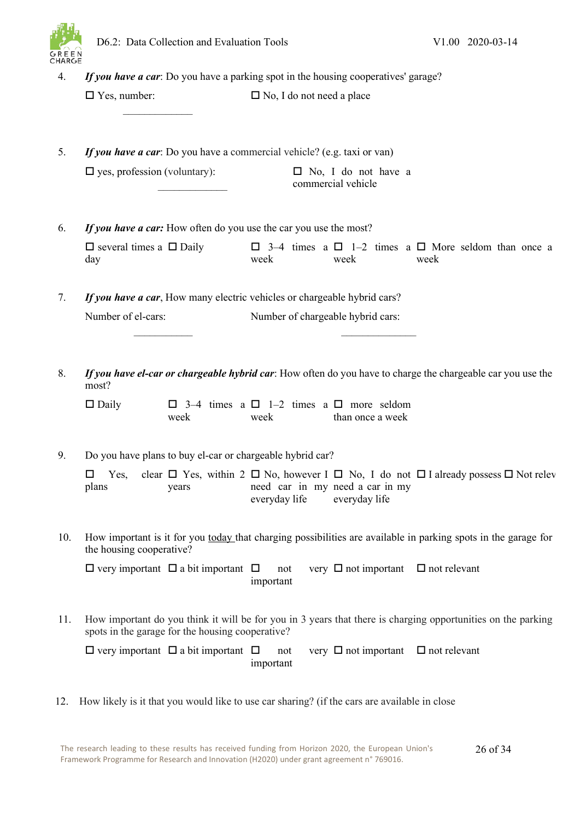

| 4.  |                                            |                                                                          |                                  | If you have a car: Do you have a parking spot in the housing cooperatives' garage? |                                                                                                                |
|-----|--------------------------------------------|--------------------------------------------------------------------------|----------------------------------|------------------------------------------------------------------------------------|----------------------------------------------------------------------------------------------------------------|
|     | $\Box$ Yes, number:                        |                                                                          | $\Box$ No, I do not need a place |                                                                                    |                                                                                                                |
| 5.  |                                            | If you have a car: Do you have a commercial vehicle? (e.g. taxi or van)  |                                  |                                                                                    |                                                                                                                |
|     | $\square$ yes, profession (voluntary):     |                                                                          |                                  | $\Box$ No, I do not have a<br>commercial vehicle                                   |                                                                                                                |
| 6.  |                                            | If you have a car: How often do you use the car you use the most?        |                                  |                                                                                    |                                                                                                                |
|     | $\Box$ several times a $\Box$ Daily<br>day |                                                                          | week                             | week                                                                               | $\Box$ 3-4 times a $\Box$ 1-2 times a $\Box$ More seldom than once a<br>week                                   |
| 7.  |                                            | If you have a car, How many electric vehicles or chargeable hybrid cars? |                                  |                                                                                    |                                                                                                                |
|     | Number of el-cars:                         |                                                                          |                                  | Number of chargeable hybrid cars:                                                  |                                                                                                                |
| 8.  | most?                                      |                                                                          |                                  |                                                                                    | If you have el-car or chargeable hybrid car: How often do you have to charge the chargeable car you use the    |
|     | $\Box$ Daily                               | week                                                                     | week                             | $\Box$ 3-4 times a $\Box$ 1-2 times a $\Box$ more seldom<br>than once a week       |                                                                                                                |
| 9.  |                                            | Do you have plans to buy el-car or chargeable hybrid car?                |                                  |                                                                                    |                                                                                                                |
|     | Yes,<br>plans                              | years                                                                    | everyday life                    | need car in my need a car in my<br>everyday life                                   | clear $\Box$ Yes, within 2 $\Box$ No, however I $\Box$ No, I do not $\Box$ I already possess $\Box$ Not relev  |
| 10. | the housing cooperative?                   |                                                                          |                                  |                                                                                    | How important is it for you today that charging possibilities are available in parking spots in the garage for |
|     |                                            | $\Box$ very important $\Box$ a bit important $\Box$                      | not<br>important                 | very $\Box$ not important                                                          | $\Box$ not relevant                                                                                            |
|     |                                            |                                                                          |                                  |                                                                                    |                                                                                                                |
| 11. |                                            | spots in the garage for the housing cooperative?                         |                                  |                                                                                    | How important do you think it will be for you in 3 years that there is charging opportunities on the parking   |

12. How likely is it that you would like to use car sharing? (if the cars are available in close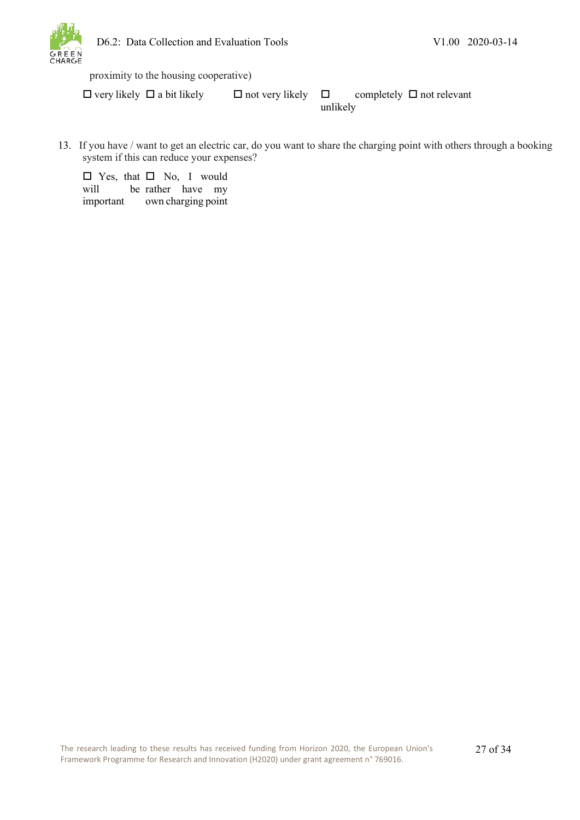

proximity to the housing cooperative)

 $\Box$  very likely  $\Box$  a bit likely  $\Box$  not very likely  $\Box$ unlikely completely  $\Box$  not relevant

13. If you have / want to get an electric car, do you want to share the charging point with others through a booking system if this can reduce your expenses?

□ Yes, that □ No, I would will important be rather have my own charging point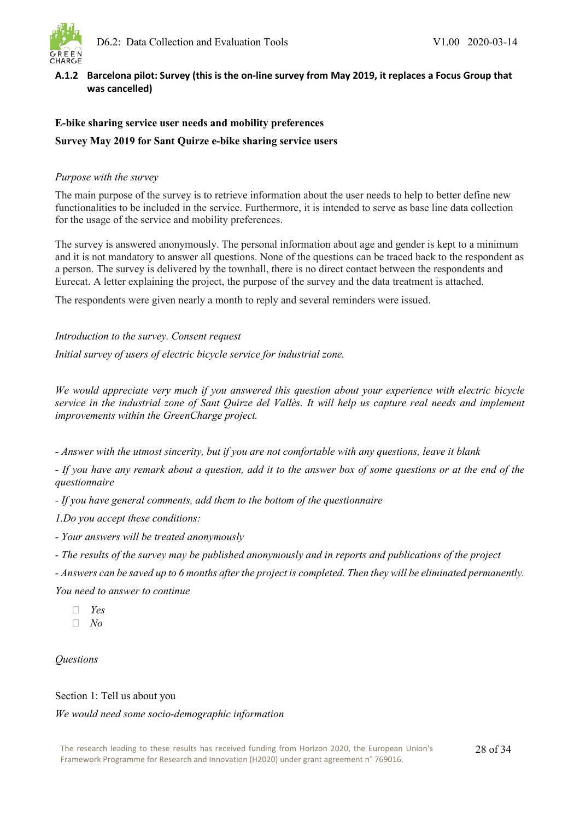

### <span id="page-29-0"></span>**A.1.2 Barcelona pilot: Survey (this is the on-line survey from May 2019, it replaces a Focus Group that was cancelled)**

#### **E-bike sharing service user needs and mobility preferences**

#### **Survey May 2019 for Sant Quirze e-bike sharing service users**

#### *Purpose with the survey*

The main purpose of the survey is to retrieve information about the user needs to help to better define new functionalities to be included in the service. Furthermore, it is intended to serve as base line data collection for the usage of the service and mobility preferences.

The survey is answered anonymously. The personal information about age and gender is kept to a minimum and it is not mandatory to answer all questions. None of the questions can be traced back to the respondent as a person. The survey is delivered by the townhall, there is no direct contact between the respondents and Eurecat. A letter explaining the project, the purpose of the survey and the data treatment is attached.

The respondents were given nearly a month to reply and several reminders were issued.

*Introduction to the survey. Consent request*

*Initial survey of users of electric bicycle service for industrial zone.*

*We would appreciate very much if you answered this question about your experience with electric bicycle service in the industrial zone of Sant Quirze del Vallès. It will help us capture real needs and implement improvements within the GreenCharge project.*

*- Answer with the utmost sincerity, but if you are not comfortable with any questions, leave it blank*

*- If you have any remark about a question, add it to the answer box of some questions or at the end of the questionnaire*

*- If you have general comments, add them to the bottom of the questionnaire*

*1.Do you accept these conditions:*

*- Your answers will be treated anonymously*

*- The results of the survey may be published anonymously and in reports and publications of the project*

*- Answers can be saved up to 6 months after the project is completed. Then they will be eliminated permanently.*

*You need to answer to continue*

- *Yes*
- *No*

### *Questions*

#### Section 1: Tell us about you

#### *We would need some socio-demographic information*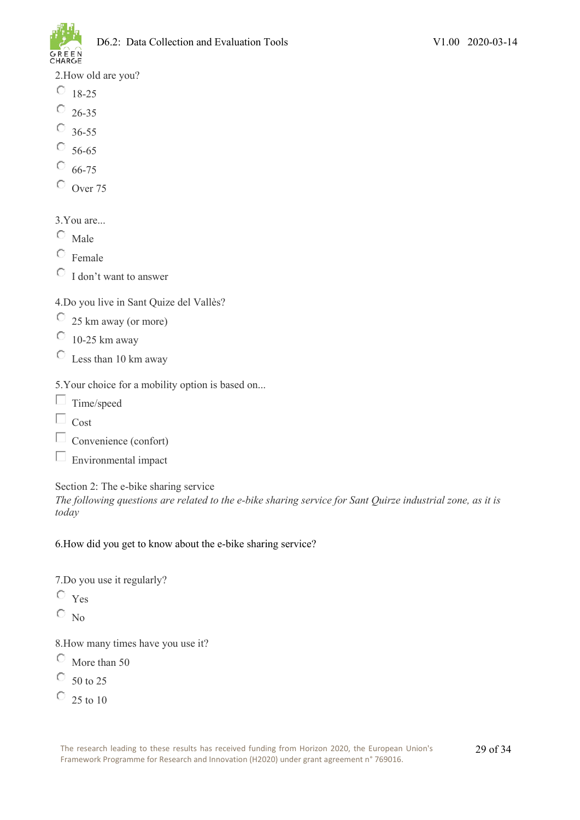

2.How old are you?

- $^{\circ}$  18-25
- $^{\circ}$  26-35
- $^{\circ}$  36-55
- $\circ$  56-65
- $O_{66-75}$
- $\circ$  Over 75

### 3.You are...

- $\circ$  Male
- $\circ$  Female
- $\circ$  I don't want to answer

### 4.Do you live in Sant Quize del Vallès?

- $\degree$  25 km away (or more)
- $\overline{O}$  10-25 km away
- $\overline{\mathbb{C}}$  Less than 10 km away

### 5.Your choice for a mobility option is based on...

- $\Box$  Time/speed
- $\Box$  Cost
- $\Box$  Convenience (confort)
- $\square$  Environmental impact

### Section 2: The e-bike sharing service

*The following questions are related to the e-bike sharing service for Sant Quirze industrial zone, as it is today*

### 6.How did you get to know about the e-bike sharing service?

7.Do you use it regularly?

- $\circ$  Yes
- $\overline{\circ}$ <sub>No</sub>

8.How many times have you use it?

- $\circ$  More than 50
- $\circ$  50 to 25
- $\overline{O}$  25 to 10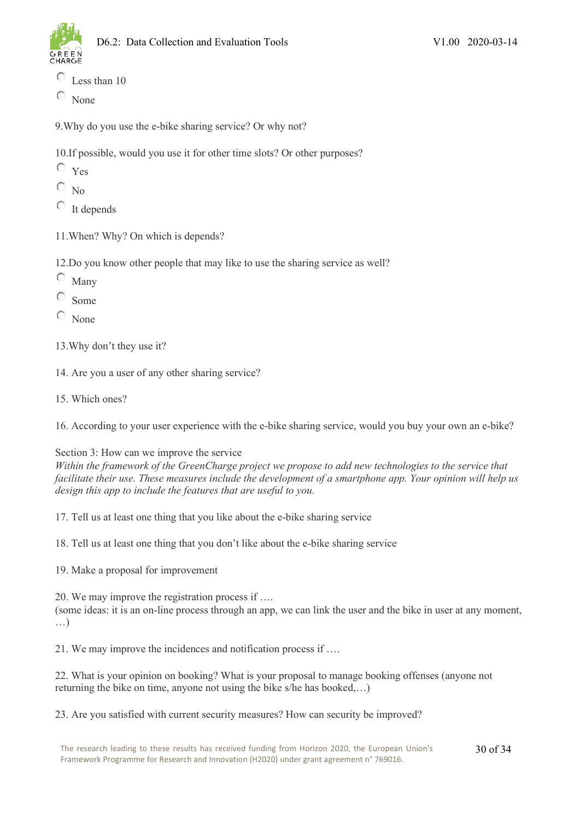

- $\circlearrowright$ Less than 10
- $\circ$  None

9.Why do you use the e-bike sharing service? Or why not?

10.If possible, would you use it for other time slots? Or other purposes?

- $\circ$   $_{\text{Yes}}$
- $\overline{\circ}$  N<sub>0</sub>
- $\overline{\bigcirc}$  It depends
- 11.When? Why? On which is depends?
- 12.Do you know other people that may like to use the sharing service as well?
- O Many
- Ō Some
- $\circ$  None
- 13.Why don't they use it?
- 14. Are you a user of any other sharing service?
- 15. Which ones?

16. According to your user experience with the e-bike sharing service, would you buy your own an e-bike?

### Section 3: How can we improve the service

*Within the framework of the GreenCharge project we propose to add new technologies to the service that facilitate their use. These measures include the development of a smartphone app. Your opinion will help us design this app to include the features that are useful to you.*

17. Tell us at least one thing that you like about the e-bike sharing service

18. Tell us at least one thing that you don't like about the e-bike sharing service

19. Make a proposal for improvement

20. We may improve the registration process if …. (some ideas: it is an on-line process through an app, we can link the user and the bike in user at any moment, …)

21. We may improve the incidences and notification process if ….

22. What is your opinion on booking? What is your proposal to manage booking offenses (anyone not returning the bike on time, anyone not using the bike s/he has booked,…)

23. Are you satisfied with current security measures? How can security be improved?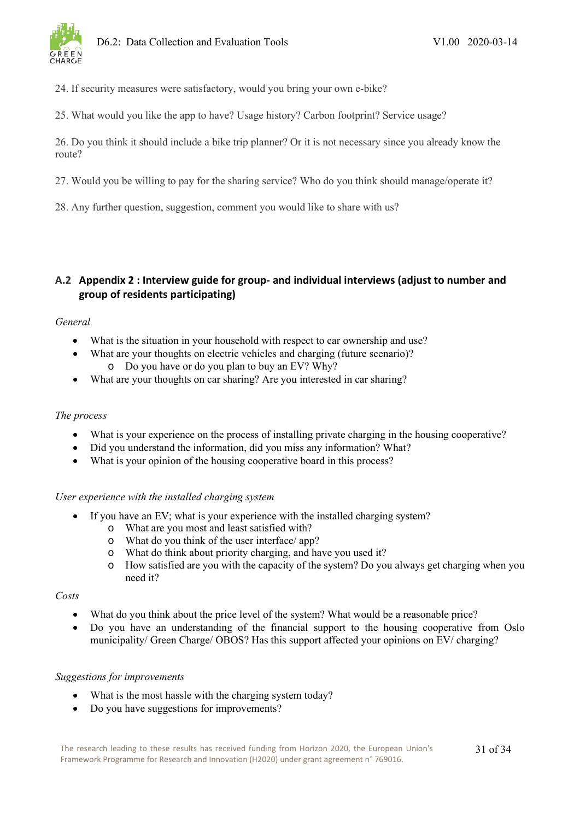

24. If security measures were satisfactory, would you bring your own e-bike?

25. What would you like the app to have? Usage history? Carbon footprint? Service usage?

26. Do you think it should include a bike trip planner? Or it is not necessary since you already know the route?

27. Would you be willing to pay for the sharing service? Who do you think should manage/operate it?

28. Any further question, suggestion, comment you would like to share with us?

### <span id="page-32-0"></span>**A.2 Appendix 2 : Interview guide for group- and individual interviews (adjust to number and group of residents participating)**

### *General*

- What is the situation in your household with respect to car ownership and use?
- What are your thoughts on electric vehicles and charging (future scenario)?
	- o Do you have or do you plan to buy an EV? Why?
- What are your thoughts on car sharing? Are you interested in car sharing?

### *The process*

- What is your experience on the process of installing private charging in the housing cooperative?
- Did you understand the information, did you miss any information? What?
- What is your opinion of the housing cooperative board in this process?

### *User experience with the installed charging system*

- If you have an EV; what is your experience with the installed charging system?
	-
	- o What are you most and least satisfied with? What do you think of the user interface/ app?
	- o What do think about priority charging, and have you used it?
	- o How satisfied are you with the capacity of the system? Do you always get charging when you need it?

### *Costs*

- What do you think about the price level of the system? What would be a reasonable price?
- Do you have an understanding of the financial support to the housing cooperative from Oslo municipality/ Green Charge/ OBOS? Has this support affected your opinions on EV/ charging?

### *Suggestions for improvements*

- What is the most hassle with the charging system today?
- Do you have suggestions for improvements?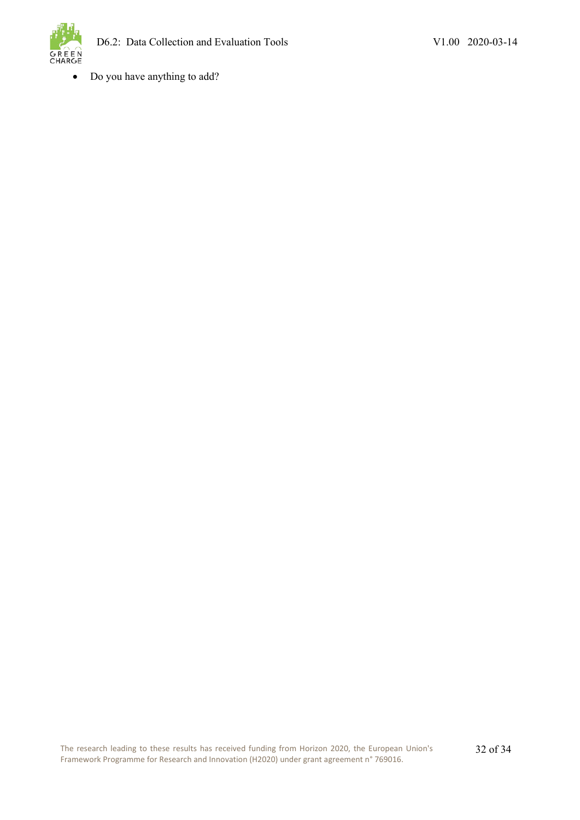

• Do you have anything to add?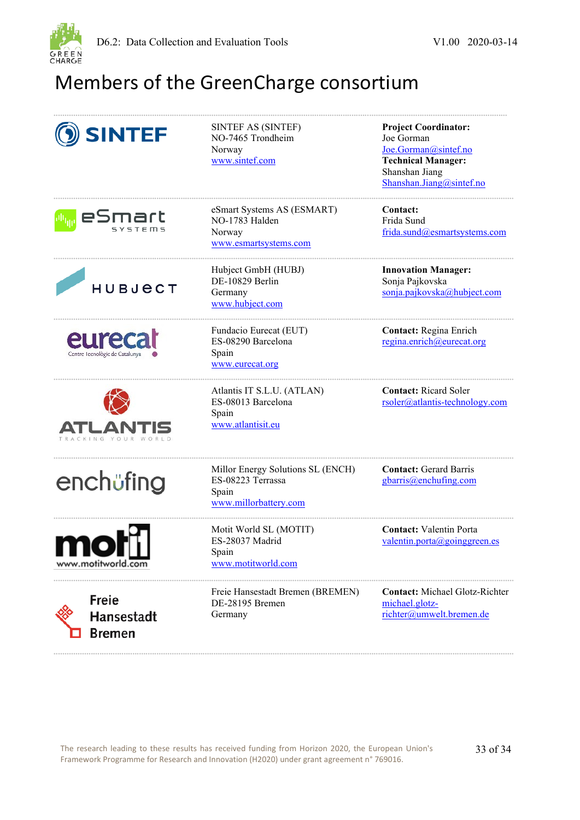

## <span id="page-34-0"></span>Members of the GreenCharge consortium

| <b>SINTEF</b>                               | SINTEF AS (SINTEF)<br>NO-7465 Trondheim<br>Norway<br>www.sintef.com                      | <b>Project Coordinator:</b><br>Joe Gorman<br>Joe.Gorman@sintef.no<br><b>Technical Manager:</b><br>Shanshan Jiang<br>Shanshan.Jiang@sintef.no |
|---------------------------------------------|------------------------------------------------------------------------------------------|----------------------------------------------------------------------------------------------------------------------------------------------|
| eSmart                                      | eSmart Systems AS (ESMART)<br>NO-1783 Halden<br>Norway<br>www.esmartsystems.com          | Contact:<br>Frida Sund<br>frida.sund@esmartsystems.com                                                                                       |
| <b>HUBJECT</b>                              | Hubject GmbH (HUBJ)<br>DE-10829 Berlin<br>Germany<br>www.hubject.com                     | <b>Innovation Manager:</b><br>Sonja Pajkovska<br>sonja.pajkovska@hubject.com                                                                 |
| eureca<br>Centre Tecnològic de Catalunya    | Fundacio Eurecat (EUT)<br>ES-08290 Barcelona<br>Spain<br>www.eurecat.org                 | Contact: Regina Enrich<br>regina.enrich@eurecat.org                                                                                          |
|                                             | Atlantis IT S.L.U. (ATLAN)<br>ES-08013 Barcelona<br>Spain<br>www.atlantisit.eu           | <b>Contact:</b> Ricard Soler<br>rsoler@atlantis-technology.com                                                                               |
| enchüfing                                   | Millor Energy Solutions SL (ENCH)<br>ES-08223 Terrassa<br>Spain<br>www.millorbattery.com | <b>Contact: Gerard Barris</b><br>gbarris@enchufing.com                                                                                       |
| IVI II<br>www.motitworld.com                | Motit World SL (MOTIT)<br>ES-28037 Madrid<br>Spain<br>www.motitworld.com                 | <b>Contact:</b> Valentin Porta<br>valentin.porta @ going green.es                                                                            |
| <b>Freie</b><br>Hansestadt<br><b>Bremen</b> | Freie Hansestadt Bremen (BREMEN)<br>DE-28195 Bremen<br>Germany                           | <b>Contact:</b> Michael Glotz-Richter<br>michael.glotz-<br>richter@umwelt.bremen.de                                                          |

**..................................................................................................................................................................................................................**